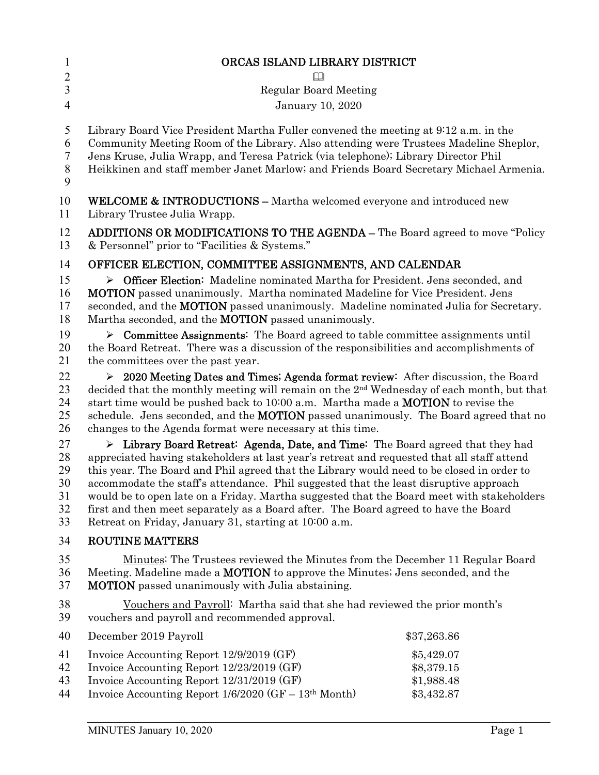| $\mathbf{1}$                           | ORCAS ISLAND LIBRARY DISTRICT                                                                                                                                                                                                                                                                                                                                                                                                                                                                                                                                                                                                   |                                                      |
|----------------------------------------|---------------------------------------------------------------------------------------------------------------------------------------------------------------------------------------------------------------------------------------------------------------------------------------------------------------------------------------------------------------------------------------------------------------------------------------------------------------------------------------------------------------------------------------------------------------------------------------------------------------------------------|------------------------------------------------------|
| $\overline{2}$                         | $\Box$                                                                                                                                                                                                                                                                                                                                                                                                                                                                                                                                                                                                                          |                                                      |
| 3                                      | <b>Regular Board Meeting</b>                                                                                                                                                                                                                                                                                                                                                                                                                                                                                                                                                                                                    |                                                      |
| $\overline{4}$                         | January 10, 2020                                                                                                                                                                                                                                                                                                                                                                                                                                                                                                                                                                                                                |                                                      |
| 5<br>6<br>7<br>8<br>9                  | Library Board Vice President Martha Fuller convened the meeting at 9:12 a.m. in the<br>Community Meeting Room of the Library. Also attending were Trustees Madeline Sheplor,<br>Jens Kruse, Julia Wrapp, and Teresa Patrick (via telephone); Library Director Phil<br>Heikkinen and staff member Janet Marlow; and Friends Board Secretary Michael Armenia.                                                                                                                                                                                                                                                                     |                                                      |
| 10<br>11                               | <b>WELCOME &amp; INTRODUCTIONS</b> – Martha welcomed everyone and introduced new<br>Library Trustee Julia Wrapp.                                                                                                                                                                                                                                                                                                                                                                                                                                                                                                                |                                                      |
| 12<br>13                               | <b>ADDITIONS OR MODIFICATIONS TO THE AGENDA - The Board agreed to move "Policy"</b><br>& Personnel" prior to "Facilities & Systems."                                                                                                                                                                                                                                                                                                                                                                                                                                                                                            |                                                      |
| 14                                     | OFFICER ELECTION, COMMITTEE ASSIGNMENTS, AND CALENDAR                                                                                                                                                                                                                                                                                                                                                                                                                                                                                                                                                                           |                                                      |
| 15<br>16<br>17<br>18                   | $\triangleright$ Officer Election: Madeline nominated Martha for President. Jens seconded, and<br>MOTION passed unanimously. Martha nominated Madeline for Vice President. Jens<br>seconded, and the <b>MOTION</b> passed unanimously. Madeline nominated Julia for Secretary.<br>Martha seconded, and the <b>MOTION</b> passed unanimously.                                                                                                                                                                                                                                                                                    |                                                      |
| 19<br>20<br>21                         | $\triangleright$ Committee Assignments: The Board agreed to table committee assignments until<br>the Board Retreat. There was a discussion of the responsibilities and accomplishments of<br>the committees over the past year.                                                                                                                                                                                                                                                                                                                                                                                                 |                                                      |
| 22<br>23<br>24<br>25<br>26             | $\geq$ 2020 Meeting Dates and Times; Agenda format review: After discussion, the Board<br>decided that the monthly meeting will remain on the 2 <sup>nd</sup> Wednesday of each month, but that<br>start time would be pushed back to 10:00 a.m. Martha made a <b>MOTION</b> to revise the<br>schedule. Jens seconded, and the <b>MOTION</b> passed unanimously. The Board agreed that no<br>changes to the Agenda format were necessary at this time.                                                                                                                                                                          |                                                      |
| 27<br>28<br>29<br>30<br>31<br>32<br>33 | $\triangleright$ Library Board Retreat: Agenda, Date, and Time: The Board agreed that they had<br>appreciated having stakeholders at last year's retreat and requested that all staff attend<br>this year. The Board and Phil agreed that the Library would need to be closed in order to<br>accommodate the staff's attendance. Phil suggested that the least disruptive approach<br>would be to open late on a Friday. Martha suggested that the Board meet with stakeholders<br>first and then meet separately as a Board after. The Board agreed to have the Board<br>Retreat on Friday, January 31, starting at 10:00 a.m. |                                                      |
| 34                                     | <b>ROUTINE MATTERS</b>                                                                                                                                                                                                                                                                                                                                                                                                                                                                                                                                                                                                          |                                                      |
| 35<br>36<br>37                         | Minutes: The Trustees reviewed the Minutes from the December 11 Regular Board<br>Meeting. Madeline made a <b>MOTION</b> to approve the Minutes; Jens seconded, and the<br><b>MOTION</b> passed unanimously with Julia abstaining.                                                                                                                                                                                                                                                                                                                                                                                               |                                                      |
| 38<br>39                               | Vouchers and Payroll: Martha said that she had reviewed the prior month's<br>vouchers and payroll and recommended approval.                                                                                                                                                                                                                                                                                                                                                                                                                                                                                                     |                                                      |
| 40                                     | December 2019 Payroll                                                                                                                                                                                                                                                                                                                                                                                                                                                                                                                                                                                                           | \$37,263.86                                          |
| 41<br>42<br>43<br>44                   | Invoice Accounting Report 12/9/2019 (GF)<br>Invoice Accounting Report 12/23/2019 (GF)<br>Invoice Accounting Report 12/31/2019 (GF)<br>Invoice Accounting Report 1/6/2020 (GF - 13th Month)                                                                                                                                                                                                                                                                                                                                                                                                                                      | \$5,429.07<br>\$8,379.15<br>\$1,988.48<br>\$3,432.87 |
|                                        |                                                                                                                                                                                                                                                                                                                                                                                                                                                                                                                                                                                                                                 |                                                      |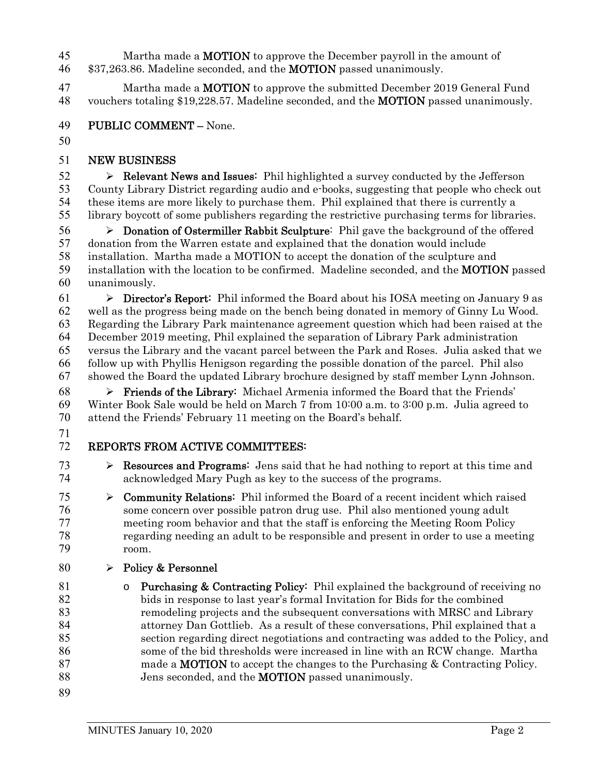45 Martha made a **MOTION** to approve the December payroll in the amount of 46 \$37,263.86. Madeline seconded, and the **MOTION** passed unanimously.

47 Martha made a **MOTION** to approve the submitted December 2019 General Fund vouchers totaling \$19,228.57. Madeline seconded, and the MOTION passed unanimously.

- PUBLIC COMMENT None.
- 

## NEW BUSINESS

 $\triangleright$  **Relevant News and Issues:** Phil highlighted a survey conducted by the Jefferson County Library District regarding audio and e-books, suggesting that people who check out these items are more likely to purchase them. Phil explained that there is currently a library boycott of some publishers regarding the restrictive purchasing terms for libraries.

 $56 \rightarrow$  Donation of Ostermiller Rabbit Sculpture: Phil gave the background of the offered donation from the Warren estate and explained that the donation would include installation. Martha made a MOTION to accept the donation of the sculpture and installation with the location to be confirmed. Madeline seconded, and the MOTION passed unanimously.

 $\triangleright$  **Director's Report:** Phil informed the Board about his IOSA meeting on January 9 as well as the progress being made on the bench being donated in memory of Ginny Lu Wood. Regarding the Library Park maintenance agreement question which had been raised at the December 2019 meeting, Phil explained the separation of Library Park administration versus the Library and the vacant parcel between the Park and Roses. Julia asked that we follow up with Phyllis Henigson regarding the possible donation of the parcel. Phil also showed the Board the updated Library brochure designed by staff member Lynn Johnson.

**Friends of the Library:** Michael Armenia informed the Board that the Friends' Winter Book Sale would be held on March 7 from 10:00 a.m. to 3:00 p.m. Julia agreed to attend the Friends' February 11 meeting on the Board's behalf.

## REPORTS FROM ACTIVE COMMITTEES:

- 73  $\triangleright$  **Resources and Programs:** Jens said that he had nothing to report at this time and acknowledged Mary Pugh as key to the success of the programs.
- 75  $\triangleright$  **Community Relations:** Phil informed the Board of a recent incident which raised some concern over possible patron drug use. Phil also mentioned young adult meeting room behavior and that the staff is enforcing the Meeting Room Policy regarding needing an adult to be responsible and present in order to use a meeting room.
- 80  $\rightarrow$  Policy & Personnel
- **b Purchasing & Contracting Policy:** Phil explained the background of receiving no bids in response to last year's formal Invitation for Bids for the combined remodeling projects and the subsequent conversations with MRSC and Library attorney Dan Gottlieb. As a result of these conversations, Phil explained that a section regarding direct negotiations and contracting was added to the Policy, and some of the bid thresholds were increased in line with an RCW change. Martha made a MOTION to accept the changes to the Purchasing & Contracting Policy. 88 Jens seconded, and the **MOTION** passed unanimously.
-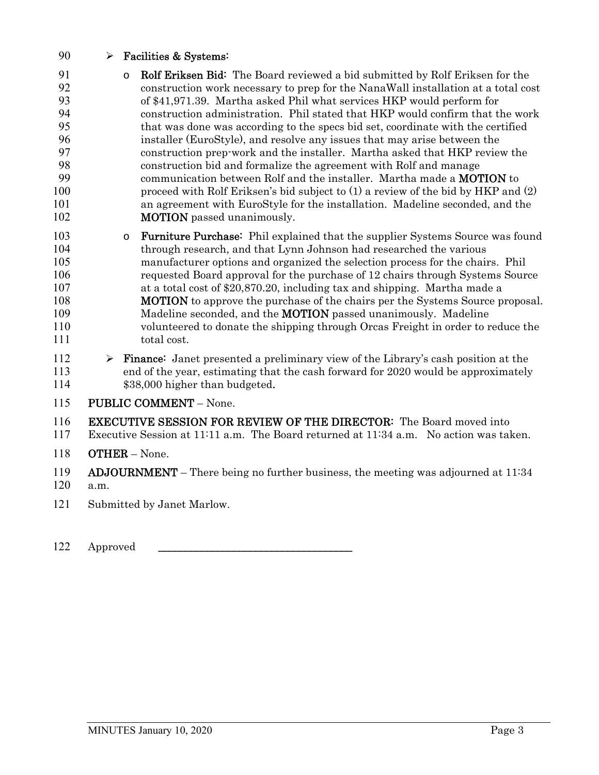- 90  $\triangleright$  Facilities & Systems:
- 91 o Rolf Eriksen Bid: The Board reviewed a bid submitted by Rolf Eriksen for the construction work necessary to prep for the NanaWall installation at a total co construction work necessary to prep for the NanaWall installation at a total cost of \$41,971.39. Martha asked Phil what services HKP would perform for construction administration. Phil stated that HKP would confirm that the work that was done was according to the specs bid set, coordinate with the certified installer (EuroStyle), and resolve any issues that may arise between the construction prep-work and the installer. Martha asked that HKP review the construction bid and formalize the agreement with Rolf and manage communication between Rolf and the installer. Martha made a MOTION to 100 proceed with Rolf Eriksen's bid subject to (1) a review of the bid by HKP and (2) an agreement with EuroStyle for the installation. Madeline seconded, and the **MOTION** passed unanimously.
- 103 o Furniture Purchase: Phil explained that the supplier Systems Source was found through research, and that Lynn Johnson had researched the various manufacturer options and organized the selection process for the chairs. Phil requested Board approval for the purchase of 12 chairs through Systems Source at a total cost of \$20,870.20, including tax and shipping. Martha made a **MOTION** to approve the purchase of the chairs per the Systems Source proposal. 109 Madeline seconded, and the **MOTION** passed unanimously. Madeline volunteered to donate the shipping through Orcas Freight in order to reduce the total cost.
- 112  $\triangleright$  **Finance:** Janet presented a preliminary view of the Library's cash position at the end of the year, estimating that the cash forward for 2020 would be approximately 114 \$38,000 higher than budgeted.
- PUBLIC COMMENT None.

EXECUTIVE SESSION FOR REVIEW OF THE DIRECTOR: The Board moved into

- Executive Session at 11:11 a.m. The Board returned at 11:34 a.m. No action was taken.
- OTHER None.

119 ADJOURNMENT – There being no further business, the meeting was adjourned at 11:34 a.m.

Submitted by Janet Marlow.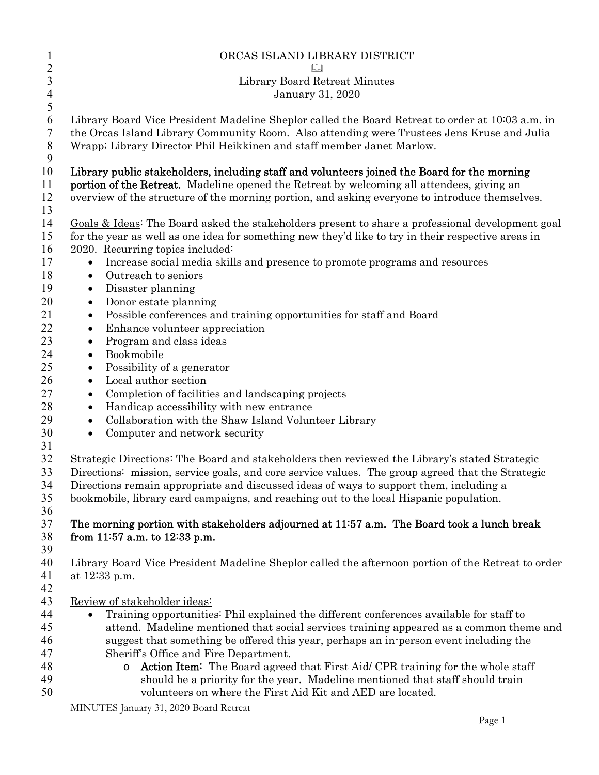| $\mathbf{1}$                 | ORCAS ISLAND LIBRARY DISTRICT                                                                      |
|------------------------------|----------------------------------------------------------------------------------------------------|
| $\sqrt{2}$<br>$\overline{3}$ |                                                                                                    |
|                              | Library Board Retreat Minutes                                                                      |
| $\overline{4}$<br>5          | January 31, 2020                                                                                   |
| 6                            | Library Board Vice President Madeline Sheplor called the Board Retreat to order at 10:03 a.m. in   |
| 7                            | the Orcas Island Library Community Room. Also attending were Trustees Jens Kruse and Julia         |
| 8<br>9                       | Wrapp; Library Director Phil Heikkinen and staff member Janet Marlow.                              |
| 10                           | Library public stakeholders, including staff and volunteers joined the Board for the morning       |
| 11                           | portion of the Retreat. Madeline opened the Retreat by welcoming all attendees, giving an          |
| 12                           | overview of the structure of the morning portion, and asking everyone to introduce themselves.     |
| 13                           |                                                                                                    |
| 14                           | Goals & Ideas: The Board asked the stakeholders present to share a professional development goal   |
| 15                           | for the year as well as one idea for something new they'd like to try in their respective areas in |
| 16                           | 2020. Recurring topics included:                                                                   |
| 17                           | Increase social media skills and presence to promote programs and resources                        |
| 18                           | Outreach to seniors<br>$\bullet$                                                                   |
| 19                           | Disaster planning<br>$\bullet$                                                                     |
| 20                           | Donor estate planning<br>٠                                                                         |
| 21                           | Possible conferences and training opportunities for staff and Board<br>$\bullet$                   |
| 22                           | Enhance volunteer appreciation<br>٠                                                                |
| 23                           | Program and class ideas<br>٠                                                                       |
| 24                           | Bookmobile<br>٠                                                                                    |
| 25                           | Possibility of a generator<br>٠                                                                    |
| 26                           | Local author section                                                                               |
| 27                           | Completion of facilities and landscaping projects<br>٠                                             |
| 28                           | Handicap accessibility with new entrance                                                           |
| 29                           | Collaboration with the Shaw Island Volunteer Library<br>$\bullet$                                  |
| 30                           | Computer and network security<br>$\bullet$                                                         |
| 31                           |                                                                                                    |
| 32                           | Strategic Directions: The Board and stakeholders then reviewed the Library's stated Strategic      |
| 33                           | Directions: mission, service goals, and core service values. The group agreed that the Strategic   |
| 34                           | Directions remain appropriate and discussed ideas of ways to support them, including a             |
| 35                           | bookmobile, library card campaigns, and reaching out to the local Hispanic population.             |
| 36                           |                                                                                                    |
| 37                           | The morning portion with stakeholders adjourned at 11:57 a.m. The Board took a lunch break         |
| 38                           | from 11:57 a.m. to 12:33 p.m.                                                                      |
| 39                           |                                                                                                    |
| 40                           | Library Board Vice President Madeline Sheplor called the afternoon portion of the Retreat to order |
| 41<br>42                     | at 12:33 p.m.                                                                                      |
| 43                           | Review of stakeholder ideas:                                                                       |
| 44                           | Training opportunities: Phil explained the different conferences available for staff to            |
| 45                           | attend. Madeline mentioned that social services training appeared as a common theme and            |
| 46                           | suggest that something be offered this year, perhaps an in-person event including the              |
| 47                           | Sheriff's Office and Fire Department.                                                              |
| 48                           | <b>Action Item:</b> The Board agreed that First Aid/ CPR training for the whole staff<br>$\circ$   |
| 49                           | should be a priority for the year. Madeline mentioned that staff should train                      |
| 50                           | volunteers on where the First Aid Kit and AED are located.                                         |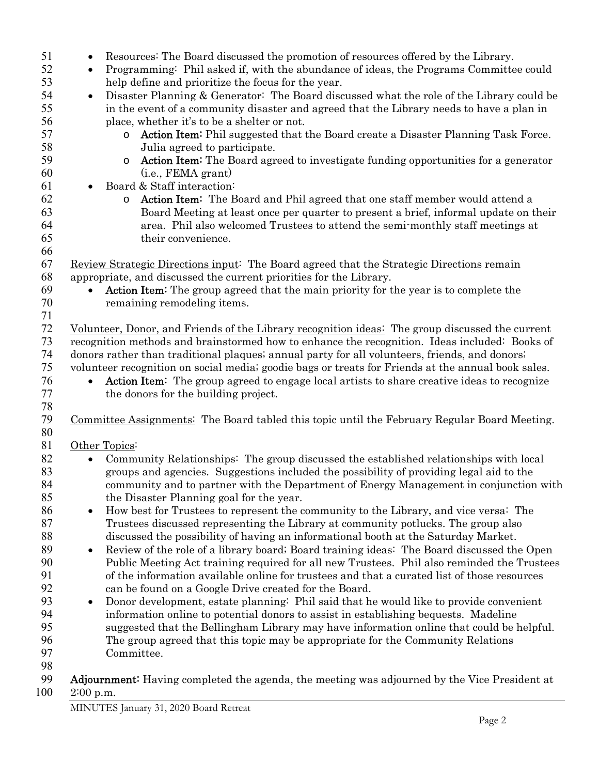| 51  | Resources: The Board discussed the promotion of resources offered by the Library.<br>$\bullet$          |
|-----|---------------------------------------------------------------------------------------------------------|
| 52  | Programming: Phil asked if, with the abundance of ideas, the Programs Committee could<br>$\bullet$      |
| 53  | help define and prioritize the focus for the year.                                                      |
| 54  | Disaster Planning & Generator: The Board discussed what the role of the Library could be<br>$\bullet$   |
| 55  | in the event of a community disaster and agreed that the Library needs to have a plan in                |
| 56  | place, whether it's to be a shelter or not.                                                             |
| 57  | Action Item: Phil suggested that the Board create a Disaster Planning Task Force.<br>O                  |
| 58  |                                                                                                         |
| 59  | Julia agreed to participate.                                                                            |
|     | <b>Action Item:</b> The Board agreed to investigate funding opportunities for a generator<br>$\circ$    |
| 60  | (i.e., <b>FEMA</b> grant)                                                                               |
| 61  | Board & Staff interaction:<br>$\bullet$                                                                 |
| 62  | Action Item: The Board and Phil agreed that one staff member would attend a<br>$\circ$                  |
| 63  | Board Meeting at least once per quarter to present a brief, informal update on their                    |
| 64  | area. Phil also welcomed Trustees to attend the semi-monthly staff meetings at                          |
| 65  | their convenience.                                                                                      |
| 66  |                                                                                                         |
| 67  | Review Strategic Directions input: The Board agreed that the Strategic Directions remain                |
| 68  | appropriate, and discussed the current priorities for the Library.                                      |
| 69  | <b>Action Item:</b> The group agreed that the main priority for the year is to complete the             |
| 70  | remaining remodeling items.                                                                             |
| 71  |                                                                                                         |
| 72  | Volunteer, Donor, and Friends of the Library recognition ideas: The group discussed the current         |
| 73  | recognition methods and brainstormed how to enhance the recognition. Ideas included: Books of           |
| 74  | donors rather than traditional plaques; annual party for all volunteers, friends, and donors;           |
| 75  | volunteer recognition on social media; goodie bags or treats for Friends at the annual book sales.      |
| 76  | Action Item: The group agreed to engage local artists to share creative ideas to recognize<br>$\bullet$ |
| 77  | the donors for the building project.                                                                    |
| 78  |                                                                                                         |
| 79  | Committee Assignments: The Board tabled this topic until the February Regular Board Meeting.            |
| 80  |                                                                                                         |
| 81  | Other Topics:                                                                                           |
| 82  | Community Relationships: The group discussed the established relationships with local<br>$\bullet$      |
| 83  | groups and agencies. Suggestions included the possibility of providing legal aid to the                 |
| 84  |                                                                                                         |
|     | community and to partner with the Department of Energy Management in conjunction with                   |
| 85  | the Disaster Planning goal for the year.                                                                |
| 86  | How best for Trustees to represent the community to the Library, and vice versa: The<br>$\bullet$       |
| 87  | Trustees discussed representing the Library at community potlucks. The group also                       |
| 88  | discussed the possibility of having an informational booth at the Saturday Market.                      |
| 89  | Review of the role of a library board; Board training ideas: The Board discussed the Open<br>$\bullet$  |
| 90  | Public Meeting Act training required for all new Trustees. Phil also reminded the Trustees              |
| 91  | of the information available online for trustees and that a curated list of those resources             |
| 92  | can be found on a Google Drive created for the Board.                                                   |
| 93  | Donor development, estate planning: Phil said that he would like to provide convenient<br>$\bullet$     |
| 94  | information online to potential donors to assist in establishing bequests. Madeline                     |
| 95  | suggested that the Bellingham Library may have information online that could be helpful.                |
| 96  | The group agreed that this topic may be appropriate for the Community Relations                         |
| 97  | Committee.                                                                                              |
| 98  |                                                                                                         |
| 99  | <b>Adjournment:</b> Having completed the agenda, the meeting was adjourned by the Vice President at     |
| 100 | $2:00$ p.m.                                                                                             |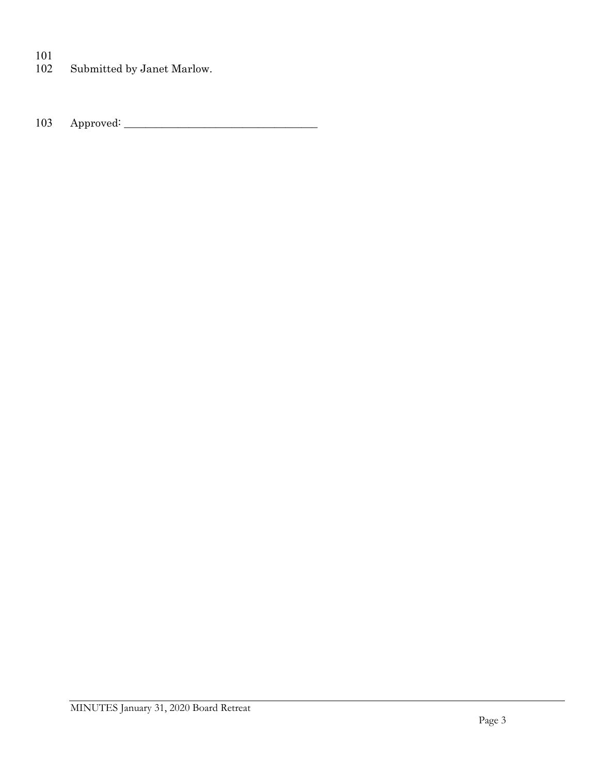$\begin{array}{c} 101 \\ 102 \end{array}$ Submitted by Janet Marlow.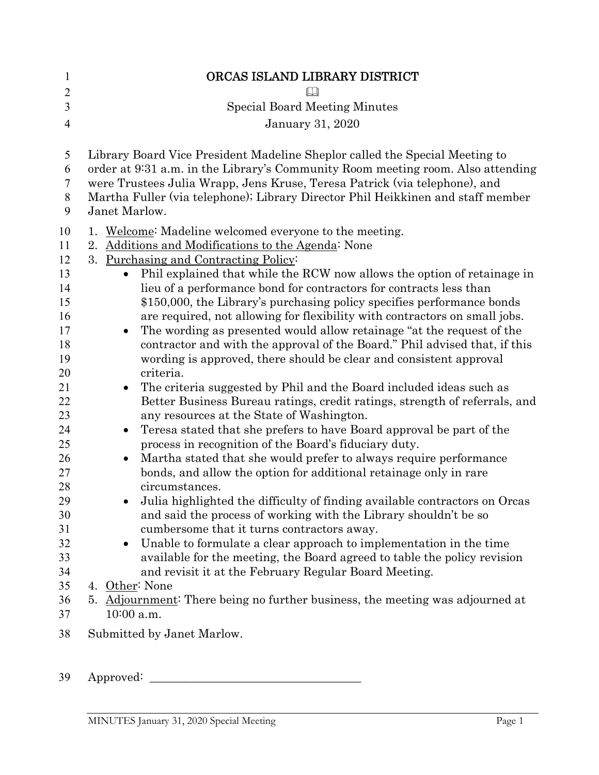| $\mathbf{1}$                                                                                                                                             | ORCAS ISLAND LIBRARY DISTRICT                                                                                                                                                                                                                                                                                                                                                                                                                                                                                                                                                                                                                                                                                                                                                                                                                                                                                                                                                                                                                                                                                                                                                                                                                                                                                                                                                                                                                                                                                                                                                                                                                                                                                         |
|----------------------------------------------------------------------------------------------------------------------------------------------------------|-----------------------------------------------------------------------------------------------------------------------------------------------------------------------------------------------------------------------------------------------------------------------------------------------------------------------------------------------------------------------------------------------------------------------------------------------------------------------------------------------------------------------------------------------------------------------------------------------------------------------------------------------------------------------------------------------------------------------------------------------------------------------------------------------------------------------------------------------------------------------------------------------------------------------------------------------------------------------------------------------------------------------------------------------------------------------------------------------------------------------------------------------------------------------------------------------------------------------------------------------------------------------------------------------------------------------------------------------------------------------------------------------------------------------------------------------------------------------------------------------------------------------------------------------------------------------------------------------------------------------------------------------------------------------------------------------------------------------|
| $\overline{2}$<br>3                                                                                                                                      | <b>Special Board Meeting Minutes</b>                                                                                                                                                                                                                                                                                                                                                                                                                                                                                                                                                                                                                                                                                                                                                                                                                                                                                                                                                                                                                                                                                                                                                                                                                                                                                                                                                                                                                                                                                                                                                                                                                                                                                  |
| $\overline{4}$                                                                                                                                           | <b>January 31, 2020</b>                                                                                                                                                                                                                                                                                                                                                                                                                                                                                                                                                                                                                                                                                                                                                                                                                                                                                                                                                                                                                                                                                                                                                                                                                                                                                                                                                                                                                                                                                                                                                                                                                                                                                               |
|                                                                                                                                                          |                                                                                                                                                                                                                                                                                                                                                                                                                                                                                                                                                                                                                                                                                                                                                                                                                                                                                                                                                                                                                                                                                                                                                                                                                                                                                                                                                                                                                                                                                                                                                                                                                                                                                                                       |
| 5<br>6<br>7<br>8<br>9                                                                                                                                    | Library Board Vice President Madeline Sheplor called the Special Meeting to<br>order at 9:31 a.m. in the Library's Community Room meeting room. Also attending<br>were Trustees Julia Wrapp, Jens Kruse, Teresa Patrick (via telephone), and<br>Martha Fuller (via telephone); Library Director Phil Heikkinen and staff member<br>Janet Marlow.                                                                                                                                                                                                                                                                                                                                                                                                                                                                                                                                                                                                                                                                                                                                                                                                                                                                                                                                                                                                                                                                                                                                                                                                                                                                                                                                                                      |
| 10<br>11<br>12<br>13<br>14<br>15<br>16<br>17<br>18<br>19<br>20<br>21<br>22<br>23<br>24<br>25<br>26<br>27<br>28<br>29<br>30<br>31<br>32<br>33<br>34<br>35 | 1. Welcome: Madeline welcomed everyone to the meeting.<br>Additions and Modifications to the Agenda: None<br>2.<br>3. Purchasing and Contracting Policy:<br>Phil explained that while the RCW now allows the option of retainage in<br>$\bullet$<br>lieu of a performance bond for contractors for contracts less than<br>\$150,000, the Library's purchasing policy specifies performance bonds<br>are required, not allowing for flexibility with contractors on small jobs.<br>The wording as presented would allow retainage "at the request of the<br>$\bullet$<br>contractor and with the approval of the Board." Phil advised that, if this<br>wording is approved, there should be clear and consistent approval<br>criteria.<br>The criteria suggested by Phil and the Board included ideas such as<br>$\bullet$<br>Better Business Bureau ratings, credit ratings, strength of referrals, and<br>any resources at the State of Washington.<br>Teresa stated that she prefers to have Board approval be part of the<br>$\bullet$<br>process in recognition of the Board's fiduciary duty.<br>Martha stated that she would prefer to always require performance<br>$\bullet$<br>bonds, and allow the option for additional retainage only in rare<br>circumstances.<br>Julia highlighted the difficulty of finding available contractors on Orcas<br>and said the process of working with the Library shouldn't be so<br>cumbersome that it turns contractors away.<br>Unable to formulate a clear approach to implementation in the time<br>$\bullet$<br>available for the meeting, the Board agreed to table the policy revision<br>and revisit it at the February Regular Board Meeting.<br>4. Other: None |
| 36                                                                                                                                                       | 5. Adjournment: There being no further business, the meeting was adjourned at                                                                                                                                                                                                                                                                                                                                                                                                                                                                                                                                                                                                                                                                                                                                                                                                                                                                                                                                                                                                                                                                                                                                                                                                                                                                                                                                                                                                                                                                                                                                                                                                                                         |
| 37                                                                                                                                                       | 10:00 a.m.                                                                                                                                                                                                                                                                                                                                                                                                                                                                                                                                                                                                                                                                                                                                                                                                                                                                                                                                                                                                                                                                                                                                                                                                                                                                                                                                                                                                                                                                                                                                                                                                                                                                                                            |
| 38                                                                                                                                                       | Submitted by Janet Marlow.                                                                                                                                                                                                                                                                                                                                                                                                                                                                                                                                                                                                                                                                                                                                                                                                                                                                                                                                                                                                                                                                                                                                                                                                                                                                                                                                                                                                                                                                                                                                                                                                                                                                                            |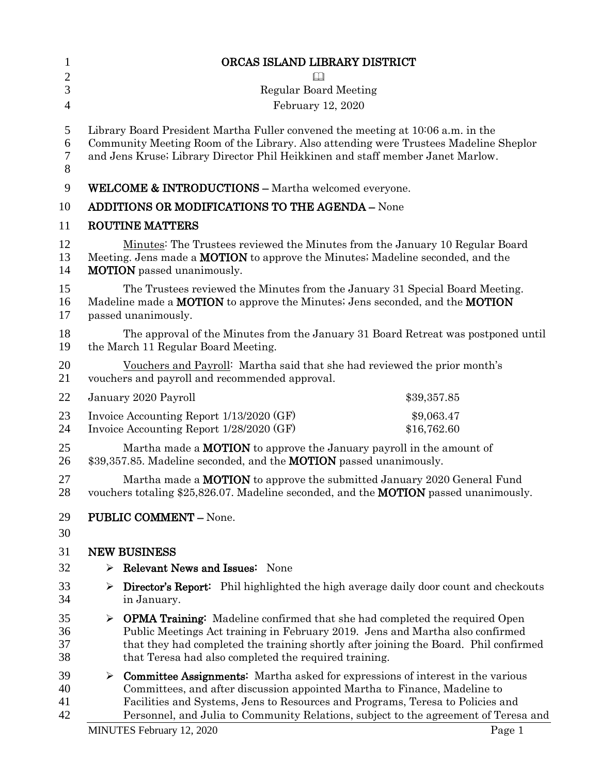| $\mathbf{1}$         | ORCAS ISLAND LIBRARY DISTRICT                                                                                                                                                                                                                                  |                                                                                            |  |
|----------------------|----------------------------------------------------------------------------------------------------------------------------------------------------------------------------------------------------------------------------------------------------------------|--------------------------------------------------------------------------------------------|--|
| $\mathbf{2}$         |                                                                                                                                                                                                                                                                |                                                                                            |  |
| 3                    | <b>Regular Board Meeting</b>                                                                                                                                                                                                                                   |                                                                                            |  |
| $\overline{4}$       | February 12, 2020                                                                                                                                                                                                                                              |                                                                                            |  |
| 5<br>6<br>7<br>8     | Library Board President Martha Fuller convened the meeting at 10:06 a.m. in the<br>Community Meeting Room of the Library. Also attending were Trustees Madeline Sheplor<br>and Jens Kruse; Library Director Phil Heikkinen and staff member Janet Marlow.      |                                                                                            |  |
| 9                    | <b>WELCOME &amp; INTRODUCTIONS - Martha welcomed everyone.</b>                                                                                                                                                                                                 |                                                                                            |  |
| 10                   | <b>ADDITIONS OR MODIFICATIONS TO THE AGENDA - None</b>                                                                                                                                                                                                         |                                                                                            |  |
| 11                   | <b>ROUTINE MATTERS</b>                                                                                                                                                                                                                                         |                                                                                            |  |
| 12<br>13<br>14       | Minutes: The Trustees reviewed the Minutes from the January 10 Regular Board<br>Meeting. Jens made a <b>MOTION</b> to approve the Minutes; Madeline seconded, and the<br><b>MOTION</b> passed unanimously.                                                     |                                                                                            |  |
| 15<br>16<br>17       | The Trustees reviewed the Minutes from the January 31 Special Board Meeting.<br>Madeline made a <b>MOTION</b> to approve the Minutes; Jens seconded, and the <b>MOTION</b><br>passed unanimously.                                                              |                                                                                            |  |
| 18<br>19             | the March 11 Regular Board Meeting.                                                                                                                                                                                                                            | The approval of the Minutes from the January 31 Board Retreat was postponed until          |  |
| 20<br>21             | Vouchers and Payroll: Martha said that she had reviewed the prior month's<br>vouchers and payroll and recommended approval.                                                                                                                                    |                                                                                            |  |
| 22                   | January 2020 Payroll                                                                                                                                                                                                                                           | \$39,357.85                                                                                |  |
| 23<br>24             | Invoice Accounting Report 1/13/2020 (GF)<br>Invoice Accounting Report 1/28/2020 (GF)                                                                                                                                                                           | \$9,063.47<br>\$16,762.60                                                                  |  |
| 25<br>26             | Martha made a <b>MOTION</b> to approve the January payroll in the amount of<br>\$39,357.85. Madeline seconded, and the <b>MOTION</b> passed unanimously.                                                                                                       |                                                                                            |  |
| 27<br>28             | Martha made a <b>MOTION</b> to approve the submitted January 2020 General Fund<br>vouchers totaling \$25,826.07. Madeline seconded, and the <b>MOTION</b> passed unanimously.                                                                                  |                                                                                            |  |
| 29<br>30             | <b>PUBLIC COMMENT - None.</b>                                                                                                                                                                                                                                  |                                                                                            |  |
| 31                   | <b>NEW BUSINESS</b>                                                                                                                                                                                                                                            |                                                                                            |  |
| 32                   | <b>Relevant News and Issues:</b> None<br>➤                                                                                                                                                                                                                     |                                                                                            |  |
| 33<br>34             | ➤<br>in January.                                                                                                                                                                                                                                               | <b>Director's Report:</b> Phil highlighted the high average daily door count and checkouts |  |
| 35<br>36<br>37<br>38 | <b>OPMA Training:</b> Madeline confirmed that she had completed the required Open<br>➤<br>Public Meetings Act training in February 2019. Jens and Martha also confirmed<br>that Teresa had also completed the required training.                               | that they had completed the training shortly after joining the Board. Phil confirmed       |  |
| 39<br>40<br>41<br>42 | $\triangleright$ Committee Assignments: Martha asked for expressions of interest in the various<br>Committees, and after discussion appointed Martha to Finance, Madeline to<br>Facilities and Systems, Jens to Resources and Programs, Teresa to Policies and | Personnel, and Julia to Community Relations, subject to the agreement of Teresa and        |  |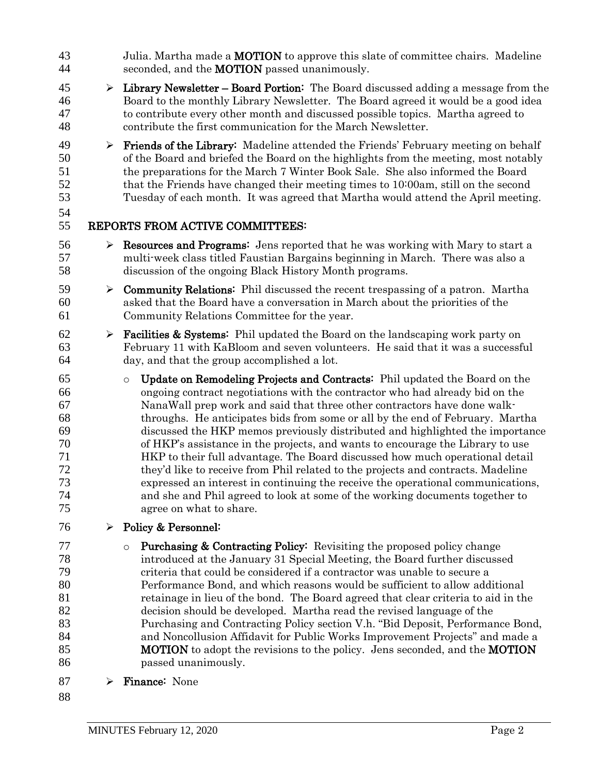- 43 Julia. Martha made a **MOTION** to approve this slate of committee chairs. Madeline 44 seconded, and the **MOTION** passed unanimously.
- $45 \rightarrow$  Library Newsletter Board Portion: The Board discussed adding a message from the Board to the monthly Library Newsletter. The Board agreed it would be a good idea to contribute every other month and discussed possible topics. Martha agreed to contribute the first communication for the March Newsletter.
- $49 \rightarrow$  Friends of the Library: Madeline attended the Friends' February meeting on behalf of the Board and briefed the Board on the highlights from the meeting, most notably the preparations for the March 7 Winter Book Sale. She also informed the Board that the Friends have changed their meeting times to 10:00am, still on the second Tuesday of each month. It was agreed that Martha would attend the April meeting.
- 

- 56  $\triangleright$  **Resources and Programs:** Jens reported that he was working with Mary to start a multi-week class titled Faustian Bargains beginning in March. There was also a discussion of the ongoing Black History Month programs.
- 59  $\triangleright$  **Community Relations:** Phil discussed the recent trespassing of a patron. Martha asked that the Board have a conversation in March about the priorities of the Community Relations Committee for the year.
- **Facilities & Systems:** Phil updated the Board on the landscaping work party on February 11 with KaBloom and seven volunteers. He said that it was a successful day, and that the group accomplished a lot.
- o Update on Remodeling Projects and Contracts: Phil updated the Board on the ongoing contract negotiations with the contractor who had already bid on the NanaWall prep work and said that three other contractors have done walk- throughs. He anticipates bids from some or all by the end of February. Martha discussed the HKP memos previously distributed and highlighted the importance of HKP's assistance in the projects, and wants to encourage the Library to use HKP to their full advantage. The Board discussed how much operational detail they'd like to receive from Phil related to the projects and contracts. Madeline expressed an interest in continuing the receive the operational communications, and she and Phil agreed to look at some of the working documents together to agree on what to share.
- 76  $\triangleright$  Policy & Personnel:
- **DEED CONTER 2** O Purchasing & Contracting Policy: Revisiting the proposed policy change introduced at the January 31 Special Meeting, the Board further discussed criteria that could be considered if a contractor was unable to secure a Performance Bond, and which reasons would be sufficient to allow additional retainage in lieu of the bond. The Board agreed that clear criteria to aid in the decision should be developed. Martha read the revised language of the Purchasing and Contracting Policy section V.h. "Bid Deposit, Performance Bond, and Noncollusion Affidavit for Public Works Improvement Projects" and made a **MOTION** to adopt the revisions to the policy. Jens seconded, and the **MOTION** passed unanimously.
- 87  $\triangleright$  Finance: None
-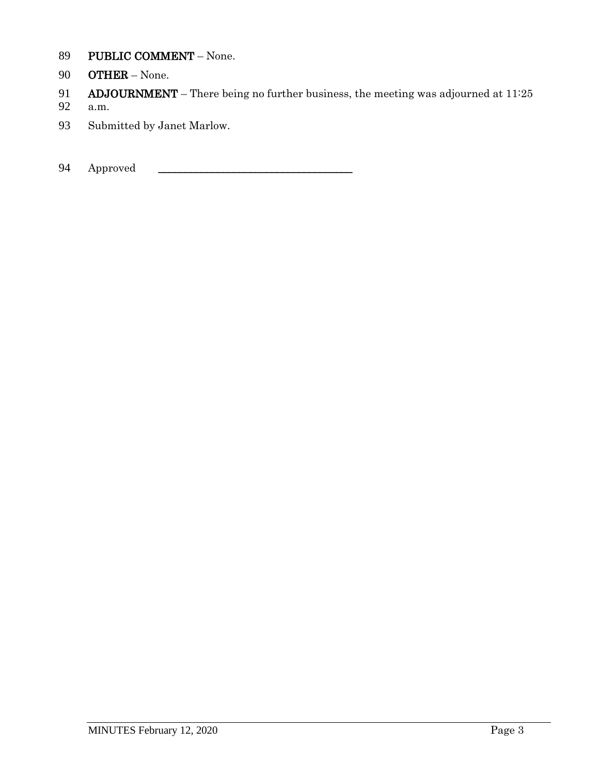- PUBLIC COMMENT None.
- OTHER None.
- **ADJOURNMENT** There being no further business, the meeting was adjourned at 11:25
- a.m.
- Submitted by Janet Marlow.
- 94 Approved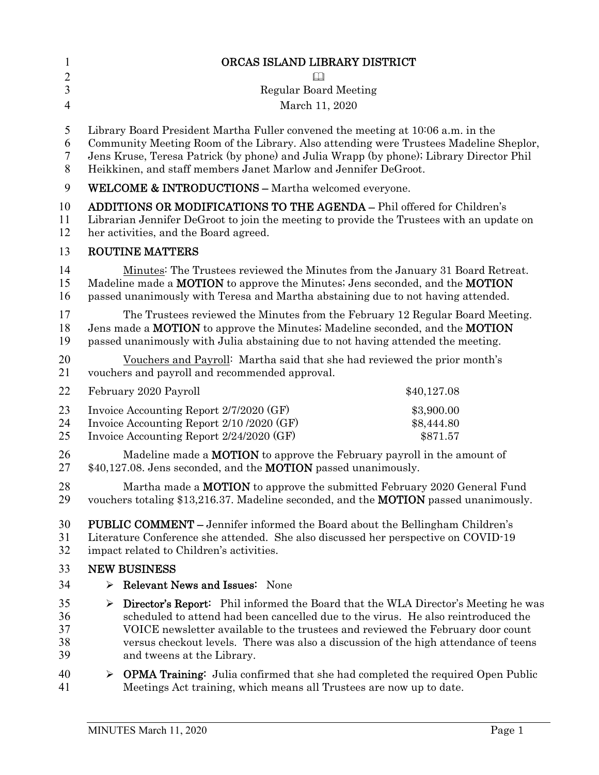| $\mathbf{1}$                                                                                                                                                                               | ORCAS ISLAND LIBRARY DISTRICT                                                                                                                                                                                                                                                                                                                                                                   |             |  |
|--------------------------------------------------------------------------------------------------------------------------------------------------------------------------------------------|-------------------------------------------------------------------------------------------------------------------------------------------------------------------------------------------------------------------------------------------------------------------------------------------------------------------------------------------------------------------------------------------------|-------------|--|
| $\overline{2}$                                                                                                                                                                             | Ш                                                                                                                                                                                                                                                                                                                                                                                               |             |  |
| $\overline{3}$                                                                                                                                                                             | <b>Regular Board Meeting</b>                                                                                                                                                                                                                                                                                                                                                                    |             |  |
| $\overline{4}$                                                                                                                                                                             | March 11, 2020                                                                                                                                                                                                                                                                                                                                                                                  |             |  |
| 5<br>6<br>$\tau$<br>8                                                                                                                                                                      | Library Board President Martha Fuller convened the meeting at 10:06 a.m. in the<br>Community Meeting Room of the Library. Also attending were Trustees Madeline Sheplor,<br>Jens Kruse, Teresa Patrick (by phone) and Julia Wrapp (by phone); Library Director Phil<br>Heikkinen, and staff members Janet Marlow and Jennifer DeGroot.                                                          |             |  |
| 9                                                                                                                                                                                          | <b>WELCOME &amp; INTRODUCTIONS - Martha welcomed everyone.</b>                                                                                                                                                                                                                                                                                                                                  |             |  |
| 10<br>11<br>12                                                                                                                                                                             | <b>ADDITIONS OR MODIFICATIONS TO THE AGENDA - Phil offered for Children's</b><br>Librarian Jennifer DeGroot to join the meeting to provide the Trustees with an update on<br>her activities, and the Board agreed.                                                                                                                                                                              |             |  |
| 13                                                                                                                                                                                         | <b>ROUTINE MATTERS</b>                                                                                                                                                                                                                                                                                                                                                                          |             |  |
| 14<br>15<br>16                                                                                                                                                                             | Minutes: The Trustees reviewed the Minutes from the January 31 Board Retreat.<br>Madeline made a <b>MOTION</b> to approve the Minutes; Jens seconded, and the <b>MOTION</b><br>passed unanimously with Teresa and Martha abstaining due to not having attended.                                                                                                                                 |             |  |
| 17<br>18<br>19                                                                                                                                                                             | The Trustees reviewed the Minutes from the February 12 Regular Board Meeting.<br>Jens made a MOTION to approve the Minutes; Madeline seconded, and the MOTION<br>passed unanimously with Julia abstaining due to not having attended the meeting.                                                                                                                                               |             |  |
| 20<br>21                                                                                                                                                                                   | Vouchers and Payroll: Martha said that she had reviewed the prior month's<br>vouchers and payroll and recommended approval.                                                                                                                                                                                                                                                                     |             |  |
| 22                                                                                                                                                                                         | February 2020 Payroll                                                                                                                                                                                                                                                                                                                                                                           | \$40,127.08 |  |
| 23<br>Invoice Accounting Report 2/7/2020 (GF)<br>\$3,900.00<br>Invoice Accounting Report 2/10 /2020 (GF)<br>24<br>\$8,444.80<br>25<br>Invoice Accounting Report 2/24/2020 (GF)<br>\$871.57 |                                                                                                                                                                                                                                                                                                                                                                                                 |             |  |
| 26<br>27                                                                                                                                                                                   | Madeline made a <b>MOTION</b> to approve the February payroll in the amount of<br>\$40,127.08. Jens seconded, and the <b>MOTION</b> passed unanimously.                                                                                                                                                                                                                                         |             |  |
| 28<br>29                                                                                                                                                                                   | Martha made a <b>MOTION</b> to approve the submitted February 2020 General Fund<br>vouchers totaling \$13,216.37. Madeline seconded, and the <b>MOTION</b> passed unanimously.                                                                                                                                                                                                                  |             |  |
| 30<br>31<br>32                                                                                                                                                                             | <b>PUBLIC COMMENT</b> – Jennifer informed the Board about the Bellingham Children's<br>Literature Conference she attended. She also discussed her perspective on COVID-19<br>impact related to Children's activities.                                                                                                                                                                           |             |  |
| 33                                                                                                                                                                                         | <b>NEW BUSINESS</b>                                                                                                                                                                                                                                                                                                                                                                             |             |  |
| 34                                                                                                                                                                                         | $\triangleright$ Relevant News and Issues: None                                                                                                                                                                                                                                                                                                                                                 |             |  |
| 35<br>36<br>37<br>38<br>39                                                                                                                                                                 | $\triangleright$ Director's Report: Phil informed the Board that the WLA Director's Meeting he was<br>scheduled to attend had been cancelled due to the virus. He also reintroduced the<br>VOICE newsletter available to the trustees and reviewed the February door count<br>versus checkout levels. There was also a discussion of the high attendance of teens<br>and tweens at the Library. |             |  |
| 40<br>41                                                                                                                                                                                   | $\triangleright$ OPMA Training: Julia confirmed that she had completed the required Open Public<br>Meetings Act training, which means all Trustees are now up to date.                                                                                                                                                                                                                          |             |  |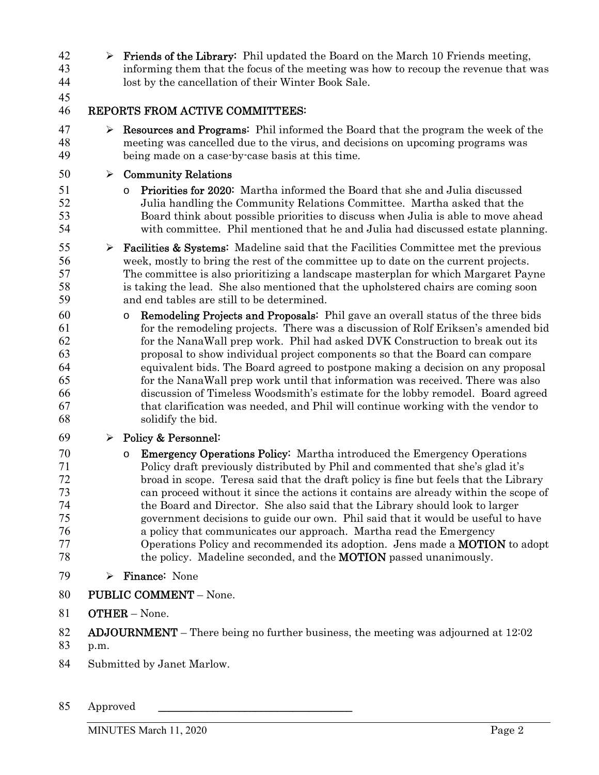42  $\triangleright$  **Friends of the Library:** Phil updated the Board on the March 10 Friends meeting, informing them that the focus of the meeting was how to recoup the revenue that was lost by the cancellation of their Winter Book Sale.

#### 

#### REPORTS FROM ACTIVE COMMITTEES:

 $47 \rightarrow$  **Resources and Programs:** Phil informed the Board that the program the week of the meeting was cancelled due to the virus, and decisions on upcoming programs was being made on a case-by-case basis at this time.

#### $50 \rightarrow$  Community Relations

- o Priorities for 2020: Martha informed the Board that she and Julia discussed Julia handling the Community Relations Committee. Martha asked that the Board think about possible priorities to discuss when Julia is able to move ahead with committee. Phil mentioned that he and Julia had discussed estate planning.
- 55  $\triangleright$  **Facilities & Systems:** Madeline said that the Facilities Committee met the previous week, mostly to bring the rest of the committee up to date on the current projects. The committee is also prioritizing a landscape masterplan for which Margaret Payne is taking the lead. She also mentioned that the upholstered chairs are coming soon and end tables are still to be determined.
- o Remodeling Projects and Proposals: Phil gave an overall status of the three bids for the remodeling projects. There was a discussion of Rolf Eriksen's amended bid for the NanaWall prep work. Phil had asked DVK Construction to break out its proposal to show individual project components so that the Board can compare equivalent bids. The Board agreed to postpone making a decision on any proposal for the NanaWall prep work until that information was received. There was also discussion of Timeless Woodsmith's estimate for the lobby remodel. Board agreed that clarification was needed, and Phil will continue working with the vendor to solidify the bid.

#### 69  $\triangleright$  Policy & Personnel:

- o Emergency Operations Policy: Martha introduced the Emergency Operations Policy draft previously distributed by Phil and commented that she's glad it's broad in scope. Teresa said that the draft policy is fine but feels that the Library can proceed without it since the actions it contains are already within the scope of the Board and Director. She also said that the Library should look to larger government decisions to guide our own. Phil said that it would be useful to have a policy that communicates our approach. Martha read the Emergency Operations Policy and recommended its adoption. Jens made a MOTION to adopt the policy. Madeline seconded, and the MOTION passed unanimously.
- 79  $\triangleright$  Finance: None
- PUBLIC COMMENT None.
- OTHER None.

- p.m.
- Submitted by Janet Marlow.

<sup>82</sup> ADJOURNMENT – There being no further business, the meeting was adjourned at  $12:02$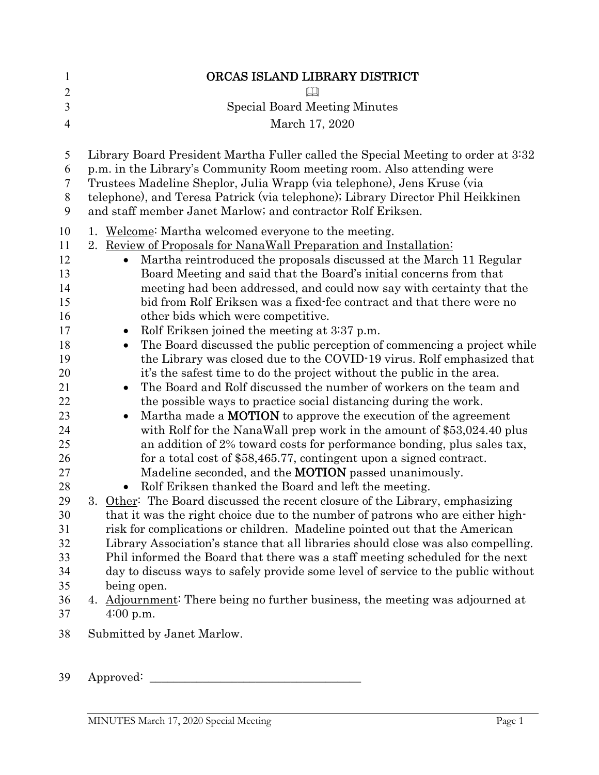| $\mathbf{1}$   | ORCAS ISLAND LIBRARY DISTRICT                                                                                                                               |
|----------------|-------------------------------------------------------------------------------------------------------------------------------------------------------------|
| $\overline{2}$ |                                                                                                                                                             |
| 3              | <b>Special Board Meeting Minutes</b>                                                                                                                        |
| $\overline{4}$ | March 17, 2020                                                                                                                                              |
| 5              | Library Board President Martha Fuller called the Special Meeting to order at 3:32                                                                           |
| 6              | p.m. in the Library's Community Room meeting room. Also attending were                                                                                      |
| 7              | Trustees Madeline Sheplor, Julia Wrapp (via telephone), Jens Kruse (via                                                                                     |
| $8\,$<br>9     | telephone), and Teresa Patrick (via telephone); Library Director Phil Heikkinen<br>and staff member Janet Marlow; and contractor Rolf Eriksen.              |
| 10             | 1. Welcome: Martha welcomed everyone to the meeting.                                                                                                        |
| 11             | 2. Review of Proposals for NanaWall Preparation and Installation:                                                                                           |
| 12             | Martha reintroduced the proposals discussed at the March 11 Regular<br>$\bullet$                                                                            |
| 13             | Board Meeting and said that the Board's initial concerns from that                                                                                          |
| 14<br>15       | meeting had been addressed, and could now say with certainty that the<br>bid from Rolf Eriksen was a fixed-fee contract and that there were no              |
| 16             | other bids which were competitive.                                                                                                                          |
| 17             | Rolf Eriksen joined the meeting at 3.37 p.m.<br>$\bullet$                                                                                                   |
| 18             | The Board discussed the public perception of commencing a project while<br>$\bullet$                                                                        |
| 19             | the Library was closed due to the COVID-19 virus. Rolf emphasized that                                                                                      |
| 20             | it's the safest time to do the project without the public in the area.                                                                                      |
| 21             | The Board and Rolf discussed the number of workers on the team and<br>$\bullet$                                                                             |
| 22             | the possible ways to practice social distancing during the work.                                                                                            |
| 23             | Martha made a <b>MOTION</b> to approve the execution of the agreement<br>$\bullet$                                                                          |
| 24             | with Rolf for the NanaWall prep work in the amount of \$53,024.40 plus                                                                                      |
| 25             | an addition of 2% toward costs for performance bonding, plus sales tax,                                                                                     |
| 26             | for a total cost of \$58,465.77, contingent upon a signed contract.                                                                                         |
| 27             | Madeline seconded, and the <b>MOTION</b> passed unanimously.                                                                                                |
| 28             | Rolf Eriksen thanked the Board and left the meeting.                                                                                                        |
| 29<br>30       | Other: The Board discussed the recent closure of the Library, emphasizing<br>that it was the right choice due to the number of patrons who are either high- |
| 31             | risk for complications or children. Madeline pointed out that the American                                                                                  |
| 32             | Library Association's stance that all libraries should close was also compelling.                                                                           |
| 33             | Phil informed the Board that there was a staff meeting scheduled for the next                                                                               |
| 34             | day to discuss ways to safely provide some level of service to the public without                                                                           |
| 35             | being open.                                                                                                                                                 |
| 36             | 4. Adjournment: There being no further business, the meeting was adjourned at                                                                               |
| 37             | 4:00 p.m.                                                                                                                                                   |
| 38             | Submitted by Janet Marlow.                                                                                                                                  |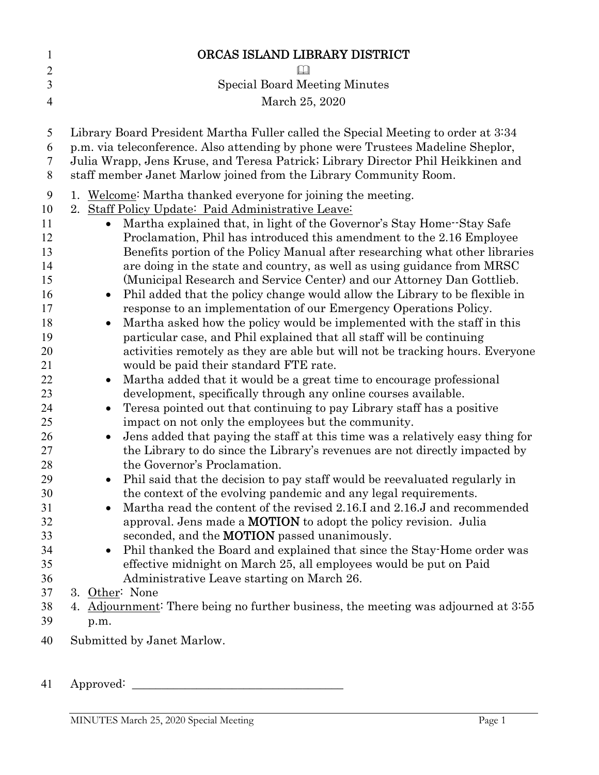| $\mathbf{1}$   | ORCAS ISLAND LIBRARY DISTRICT                                                                                                                                                                                                                             |
|----------------|-----------------------------------------------------------------------------------------------------------------------------------------------------------------------------------------------------------------------------------------------------------|
| $\overline{2}$ |                                                                                                                                                                                                                                                           |
| 3              | <b>Special Board Meeting Minutes</b>                                                                                                                                                                                                                      |
| $\overline{4}$ | March 25, 2020                                                                                                                                                                                                                                            |
|                |                                                                                                                                                                                                                                                           |
| 5<br>6<br>7    | Library Board President Martha Fuller called the Special Meeting to order at 3:34<br>p.m. via teleconference. Also attending by phone were Trustees Madeline Sheplor,<br>Julia Wrapp, Jens Kruse, and Teresa Patrick; Library Director Phil Heikkinen and |
| 8              | staff member Janet Marlow joined from the Library Community Room.                                                                                                                                                                                         |
| 9              | Welcome: Martha thanked everyone for joining the meeting.<br>1.                                                                                                                                                                                           |
| 10             | 2. Staff Policy Update: Paid Administrative Leave:                                                                                                                                                                                                        |
| 11             | Martha explained that, in light of the Governor's Stay Home-Stay Safe<br>$\bullet$                                                                                                                                                                        |
| 12<br>13       | Proclamation, Phil has introduced this amendment to the 2.16 Employee<br>Benefits portion of the Policy Manual after researching what other libraries                                                                                                     |
| 14             | are doing in the state and country, as well as using guidance from MRSC                                                                                                                                                                                   |
| 15             | (Municipal Research and Service Center) and our Attorney Dan Gottlieb.                                                                                                                                                                                    |
| 16             | Phil added that the policy change would allow the Library to be flexible in<br>$\bullet$                                                                                                                                                                  |
| 17             | response to an implementation of our Emergency Operations Policy.                                                                                                                                                                                         |
| 18             | Martha asked how the policy would be implemented with the staff in this<br>$\bullet$                                                                                                                                                                      |
| 19             | particular case, and Phil explained that all staff will be continuing                                                                                                                                                                                     |
| 20             | activities remotely as they are able but will not be tracking hours. Everyone                                                                                                                                                                             |
| 21             | would be paid their standard FTE rate.                                                                                                                                                                                                                    |
| 22             | Martha added that it would be a great time to encourage professional<br>$\bullet$                                                                                                                                                                         |
| 23             | development, specifically through any online courses available.                                                                                                                                                                                           |
| 24             | Teresa pointed out that continuing to pay Library staff has a positive                                                                                                                                                                                    |
| 25             | impact on not only the employees but the community.                                                                                                                                                                                                       |
| 26<br>27       | Jens added that paying the staff at this time was a relatively easy thing for<br>the Library to do since the Library's revenues are not directly impacted by                                                                                              |
| 28             | the Governor's Proclamation.                                                                                                                                                                                                                              |
| 29             | Phil said that the decision to pay staff would be reevaluated regularly in                                                                                                                                                                                |
| 30             | the context of the evolving pandemic and any legal requirements.                                                                                                                                                                                          |
| 31             | Martha read the content of the revised 2.16.I and 2.16.J and recommended                                                                                                                                                                                  |
| 32             | approval. Jens made a <b>MOTION</b> to adopt the policy revision. Julia                                                                                                                                                                                   |
| 33             | seconded, and the <b>MOTION</b> passed unanimously.                                                                                                                                                                                                       |
| 34             | Phil thanked the Board and explained that since the Stay-Home order was                                                                                                                                                                                   |
| 35             | effective midnight on March 25, all employees would be put on Paid                                                                                                                                                                                        |
| 36             | Administrative Leave starting on March 26.                                                                                                                                                                                                                |
| 37             | 3. Other: None                                                                                                                                                                                                                                            |
| 38             | Adjournment: There being no further business, the meeting was adjourned at 3:55<br>4.                                                                                                                                                                     |
| 39             | p.m.                                                                                                                                                                                                                                                      |
| 40             | Submitted by Janet Marlow.                                                                                                                                                                                                                                |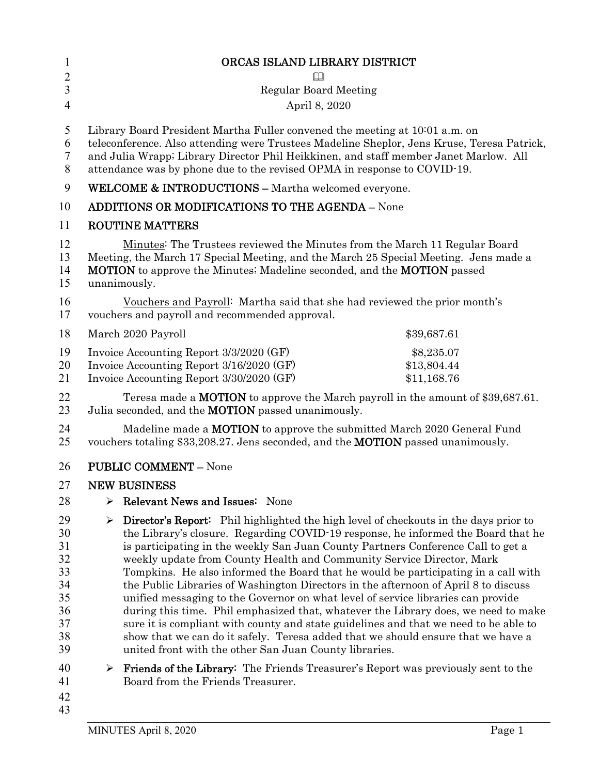| $\mathbf{1}$                                                   | ORCAS ISLAND LIBRARY DISTRICT                                                                                                                                                                                                                                                                                                                                                                                                                                                                                                                                                                                                                                                                                                                                                                                                                                                                                                            |  |  |  |
|----------------------------------------------------------------|------------------------------------------------------------------------------------------------------------------------------------------------------------------------------------------------------------------------------------------------------------------------------------------------------------------------------------------------------------------------------------------------------------------------------------------------------------------------------------------------------------------------------------------------------------------------------------------------------------------------------------------------------------------------------------------------------------------------------------------------------------------------------------------------------------------------------------------------------------------------------------------------------------------------------------------|--|--|--|
| $\overline{2}$                                                 |                                                                                                                                                                                                                                                                                                                                                                                                                                                                                                                                                                                                                                                                                                                                                                                                                                                                                                                                          |  |  |  |
| $\mathfrak{Z}$                                                 | <b>Regular Board Meeting</b>                                                                                                                                                                                                                                                                                                                                                                                                                                                                                                                                                                                                                                                                                                                                                                                                                                                                                                             |  |  |  |
| $\overline{4}$                                                 | April 8, 2020                                                                                                                                                                                                                                                                                                                                                                                                                                                                                                                                                                                                                                                                                                                                                                                                                                                                                                                            |  |  |  |
| 5<br>6<br>7<br>8                                               | Library Board President Martha Fuller convened the meeting at 10:01 a.m. on<br>teleconference. Also attending were Trustees Madeline Sheplor, Jens Kruse, Teresa Patrick,<br>and Julia Wrapp; Library Director Phil Heikkinen, and staff member Janet Marlow. All<br>attendance was by phone due to the revised OPMA in response to COVID-19.                                                                                                                                                                                                                                                                                                                                                                                                                                                                                                                                                                                            |  |  |  |
| 9                                                              | <b>WELCOME &amp; INTRODUCTIONS - Martha welcomed everyone.</b>                                                                                                                                                                                                                                                                                                                                                                                                                                                                                                                                                                                                                                                                                                                                                                                                                                                                           |  |  |  |
| 10                                                             | <b>ADDITIONS OR MODIFICATIONS TO THE AGENDA - None</b>                                                                                                                                                                                                                                                                                                                                                                                                                                                                                                                                                                                                                                                                                                                                                                                                                                                                                   |  |  |  |
| 11                                                             | <b>ROUTINE MATTERS</b>                                                                                                                                                                                                                                                                                                                                                                                                                                                                                                                                                                                                                                                                                                                                                                                                                                                                                                                   |  |  |  |
| 12<br>13<br>14<br>15                                           | Minutes: The Trustees reviewed the Minutes from the March 11 Regular Board<br>Meeting, the March 17 Special Meeting, and the March 25 Special Meeting. Jens made a<br>MOTION to approve the Minutes; Madeline seconded, and the MOTION passed<br>unanimously.                                                                                                                                                                                                                                                                                                                                                                                                                                                                                                                                                                                                                                                                            |  |  |  |
| 16<br>17                                                       | Vouchers and Payroll: Martha said that she had reviewed the prior month's<br>vouchers and payroll and recommended approval.                                                                                                                                                                                                                                                                                                                                                                                                                                                                                                                                                                                                                                                                                                                                                                                                              |  |  |  |
| 18                                                             | March 2020 Payroll<br>\$39,687.61                                                                                                                                                                                                                                                                                                                                                                                                                                                                                                                                                                                                                                                                                                                                                                                                                                                                                                        |  |  |  |
| 19<br>20<br>21                                                 | Invoice Accounting Report 3/3/2020 (GF)<br>\$8,235.07<br>Invoice Accounting Report 3/16/2020 (GF)<br>\$13,804.44<br>Invoice Accounting Report 3/30/2020 (GF)<br>\$11,168.76                                                                                                                                                                                                                                                                                                                                                                                                                                                                                                                                                                                                                                                                                                                                                              |  |  |  |
| 22<br>23                                                       | Teresa made a <b>MOTION</b> to approve the March payroll in the amount of \$39,687.61.<br>Julia seconded, and the <b>MOTION</b> passed unanimously.                                                                                                                                                                                                                                                                                                                                                                                                                                                                                                                                                                                                                                                                                                                                                                                      |  |  |  |
| 24<br>25                                                       | Madeline made a <b>MOTION</b> to approve the submitted March 2020 General Fund<br>vouchers totaling \$33,208.27. Jens seconded, and the <b>MOTION</b> passed unanimously.                                                                                                                                                                                                                                                                                                                                                                                                                                                                                                                                                                                                                                                                                                                                                                |  |  |  |
| 26                                                             | <b>PUBLIC COMMENT - None</b>                                                                                                                                                                                                                                                                                                                                                                                                                                                                                                                                                                                                                                                                                                                                                                                                                                                                                                             |  |  |  |
| 27                                                             | <b>NEW BUSINESS</b>                                                                                                                                                                                                                                                                                                                                                                                                                                                                                                                                                                                                                                                                                                                                                                                                                                                                                                                      |  |  |  |
| 28                                                             | Relevant News and Issues: None<br>⋗                                                                                                                                                                                                                                                                                                                                                                                                                                                                                                                                                                                                                                                                                                                                                                                                                                                                                                      |  |  |  |
| 29<br>30<br>31<br>32<br>33<br>34<br>35<br>36<br>37<br>38<br>39 | Director's Report: Phil highlighted the high level of checkouts in the days prior to<br>➤<br>the Library's closure. Regarding COVID-19 response, he informed the Board that he<br>is participating in the weekly San Juan County Partners Conference Call to get a<br>weekly update from County Health and Community Service Director, Mark<br>Tompkins. He also informed the Board that he would be participating in a call with<br>the Public Libraries of Washington Directors in the afternoon of April 8 to discuss<br>unified messaging to the Governor on what level of service libraries can provide<br>during this time. Phil emphasized that, whatever the Library does, we need to make<br>sure it is compliant with county and state guidelines and that we need to be able to<br>show that we can do it safely. Teresa added that we should ensure that we have a<br>united front with the other San Juan County libraries. |  |  |  |
| 40<br>41<br>42                                                 | <b>Friends of the Library:</b> The Friends Treasurer's Report was previously sent to the<br>➤<br>Board from the Friends Treasurer.                                                                                                                                                                                                                                                                                                                                                                                                                                                                                                                                                                                                                                                                                                                                                                                                       |  |  |  |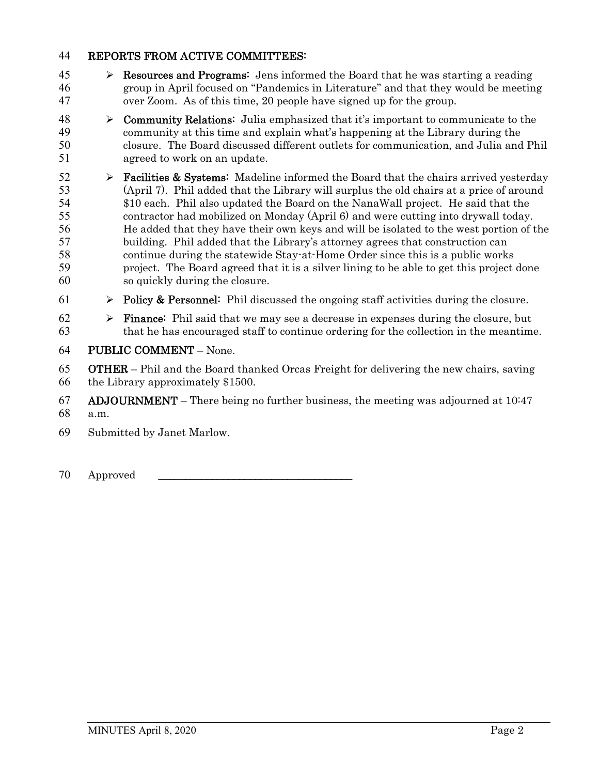- 45  $\triangleright$  **Resources and Programs:** Jens informed the Board that he was starting a reading group in April focused on "Pandemics in Literature" and that they would be meeting over Zoom. As of this time, 20 people have signed up for the group.
- 48  $\rightarrow$  Community Relations: Julia emphasized that it's important to communicate to the community at this time and explain what's happening at the Library during the closure. The Board discussed different outlets for communication, and Julia and Phil agreed to work on an update.
- 52  $\triangleright$  **Facilities & Systems:** Madeline informed the Board that the chairs arrived yesterday (April 7). Phil added that the Library will surplus the old chairs at a price of around \$10 each. Phil also updated the Board on the NanaWall project. He said that the contractor had mobilized on Monday (April 6) and were cutting into drywall today. He added that they have their own keys and will be isolated to the west portion of the building. Phil added that the Library's attorney agrees that construction can continue during the statewide Stay-at-Home Order since this is a public works project. The Board agreed that it is a silver lining to be able to get this project done so quickly during the closure.
- 61  $\triangleright$  Policy & Personnel: Phil discussed the ongoing staff activities during the closure.
- 62  $\triangleright$  **Finance:** Phil said that we may see a decrease in expenses during the closure, but that he has encouraged staff to continue ordering for the collection in the meantime.
- PUBLIC COMMENT None.
- OTHER Phil and the Board thanked Orcas Freight for delivering the new chairs, saving the Library approximately \$1500.
- 67 ADJOURNMENT There being no further business, the meeting was adjourned at  $10<sup>147</sup>$ a.m.
- Submitted by Janet Marlow.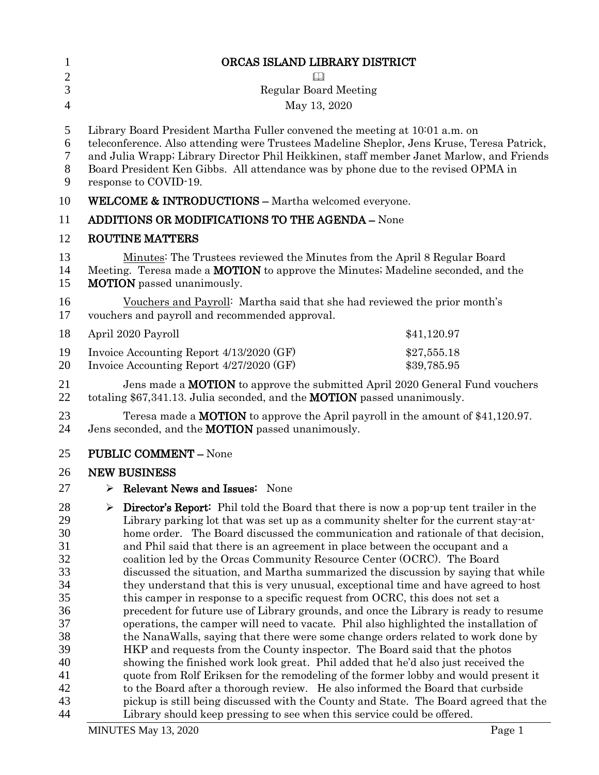| $\mathbf{1}$ | ORCAS ISLAND LIBRARY DISTRICT                                                                                                                                   |  |
|--------------|-----------------------------------------------------------------------------------------------------------------------------------------------------------------|--|
| $\mathbf{2}$ |                                                                                                                                                                 |  |
| 3            | <b>Regular Board Meeting</b>                                                                                                                                    |  |
| 4            | May 13, 2020                                                                                                                                                    |  |
|              |                                                                                                                                                                 |  |
| 5            | Library Board President Martha Fuller convened the meeting at 10001 a.m. on                                                                                     |  |
| 6            | teleconference. Also attending were Trustees Madeline Sheplor, Jens Kruse, Teresa Patrick,                                                                      |  |
| 7            | and Julia Wrapp; Library Director Phil Heikkinen, staff member Janet Marlow, and Friends                                                                        |  |
| $8\,$        | Board President Ken Gibbs. All attendance was by phone due to the revised OPMA in                                                                               |  |
| 9            | response to COVID-19.                                                                                                                                           |  |
| 10           | <b>WELCOME &amp; INTRODUCTIONS - Martha welcomed everyone.</b>                                                                                                  |  |
| 11           | <b>ADDITIONS OR MODIFICATIONS TO THE AGENDA - None</b>                                                                                                          |  |
| 12           | <b>ROUTINE MATTERS</b>                                                                                                                                          |  |
| 13           | Minutes: The Trustees reviewed the Minutes from the April 8 Regular Board                                                                                       |  |
| 14           | Meeting. Teresa made a <b>MOTION</b> to approve the Minutes; Madeline seconded, and the                                                                         |  |
| 15           | <b>MOTION</b> passed unanimously.                                                                                                                               |  |
| 16           | Vouchers and Payroll: Martha said that she had reviewed the prior month's                                                                                       |  |
| 17           | vouchers and payroll and recommended approval.                                                                                                                  |  |
| 18           | April 2020 Payroll<br>\$41,120.97                                                                                                                               |  |
| 19           | Invoice Accounting Report 4/13/2020 (GF)<br>\$27,555.18                                                                                                         |  |
| 20           | Invoice Accounting Report 4/27/2020 (GF)<br>\$39,785.95                                                                                                         |  |
| 21           | Jens made a <b>MOTION</b> to approve the submitted April 2020 General Fund vouchers                                                                             |  |
| 22           | totaling \$67,341.13. Julia seconded, and the <b>MOTION</b> passed unanimously.                                                                                 |  |
| 23           | Teresa made a <b>MOTION</b> to approve the April payroll in the amount of $$41,120.97$ .                                                                        |  |
| 24           | Jens seconded, and the <b>MOTION</b> passed unanimously.                                                                                                        |  |
| 25           | <b>PUBLIC COMMENT - None</b>                                                                                                                                    |  |
| 26           | <b>NEW BUSINESS</b>                                                                                                                                             |  |
| 27           | $\triangleright$ Relevant News and Issues: None                                                                                                                 |  |
| 28           | $\triangleright$ Director's Report: Phil told the Board that there is now a pop-up tent trailer in the                                                          |  |
| 29           | Library parking lot that was set up as a community shelter for the current stay-at-                                                                             |  |
| 30           | home order. The Board discussed the communication and rationale of that decision,                                                                               |  |
| 31           | and Phil said that there is an agreement in place between the occupant and a                                                                                    |  |
| 32           | coalition led by the Orcas Community Resource Center (OCRC). The Board                                                                                          |  |
| 33           | discussed the situation, and Martha summarized the discussion by saying that while                                                                              |  |
| 34           | they understand that this is very unusual, exceptional time and have agreed to host                                                                             |  |
| 35           | this camper in response to a specific request from OCRC, this does not set a                                                                                    |  |
| 36           | precedent for future use of Library grounds, and once the Library is ready to resume                                                                            |  |
| 37           | operations, the camper will need to vacate. Phil also highlighted the installation of                                                                           |  |
| 38           | the NanaWalls, saying that there were some change orders related to work done by                                                                                |  |
| 39           | HKP and requests from the County inspector. The Board said that the photos                                                                                      |  |
| 40           | showing the finished work look great. Phil added that he'd also just received the                                                                               |  |
| 41           | quote from Rolf Eriksen for the remodeling of the former lobby and would present it                                                                             |  |
| 42<br>43     | to the Board after a thorough review. He also informed the Board that curbside                                                                                  |  |
| 44           | pickup is still being discussed with the County and State. The Board agreed that the<br>Library should keep pressing to see when this service could be offered. |  |
|              |                                                                                                                                                                 |  |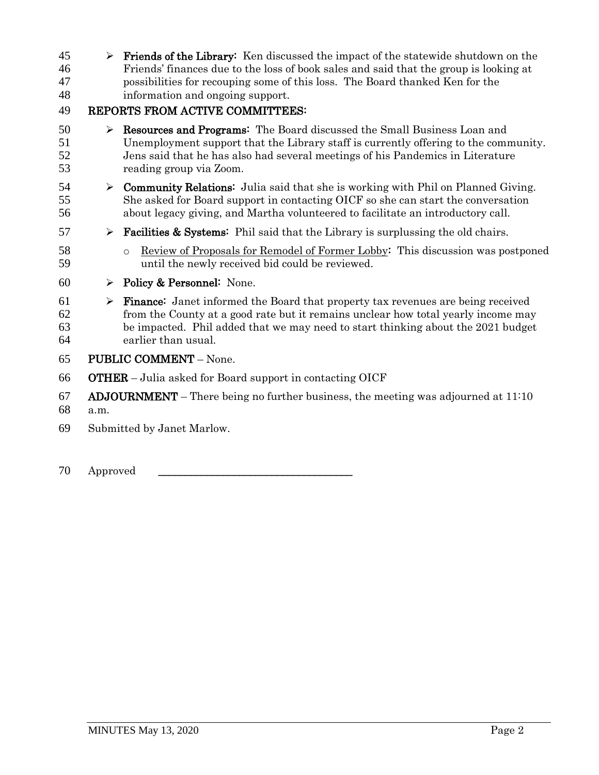$\triangleright$  Friends of the Library: Ken discussed the impact of the statewide shutdown on the Friends' finances due to the loss of book sales and said that the group is looking at possibilities for recouping some of this loss. The Board thanked Ken for the information and ongoing support.

#### REPORTS FROM ACTIVE COMMITTEES:

- **BEE** Resources and Programs: The Board discussed the Small Business Loan and Unemployment support that the Library staff is currently offering to the community. Jens said that he has also had several meetings of his Pandemics in Literature reading group via Zoom.
- 54  $\triangleright$  **Community Relations:** Julia said that she is working with Phil on Planned Giving. She asked for Board support in contacting OICF so she can start the conversation about legacy giving, and Martha volunteered to facilitate an introductory call.
- 57  $\triangleright$  **Facilities & Systems:** Phil said that the Library is surplussing the old chairs.
- o Review of Proposals for Remodel of Former Lobby: This discussion was postponed until the newly received bid could be reviewed.
- 60  $\rightarrow$  Policy & Personnel: None.
- $61 \rightarrow$  **Finance:** Janet informed the Board that property tax revenues are being received from the County at a good rate but it remains unclear how total yearly income may be impacted. Phil added that we may need to start thinking about the 2021 budget earlier than usual.
- PUBLIC COMMENT None.
- OTHER Julia asked for Board support in contacting OICF
- 67 ADJOURNMENT There being no further business, the meeting was adjourned at  $11:10$
- a.m.
- Submitted by Janet Marlow.
- 70 Approved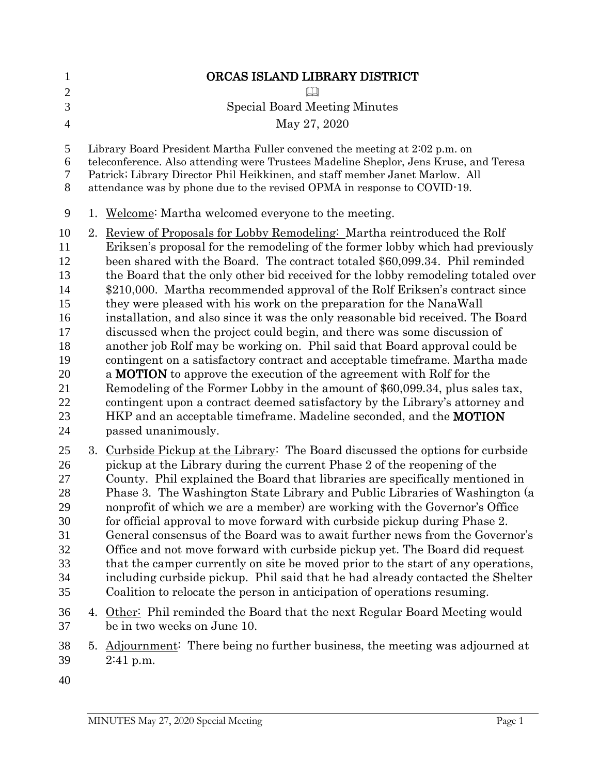| $\mathbf{1}$                                                                           |                                                                                                                                                                                                                                                                                                                                 | ORCAS ISLAND LIBRARY DISTRICT                                                                                                                                                                                                                                                                                                                                                                                                                                                                                                                                                                                                                                                                                                                                                                                                                                                                                                                                                                                                                                                                                                                                        |  |
|----------------------------------------------------------------------------------------|---------------------------------------------------------------------------------------------------------------------------------------------------------------------------------------------------------------------------------------------------------------------------------------------------------------------------------|----------------------------------------------------------------------------------------------------------------------------------------------------------------------------------------------------------------------------------------------------------------------------------------------------------------------------------------------------------------------------------------------------------------------------------------------------------------------------------------------------------------------------------------------------------------------------------------------------------------------------------------------------------------------------------------------------------------------------------------------------------------------------------------------------------------------------------------------------------------------------------------------------------------------------------------------------------------------------------------------------------------------------------------------------------------------------------------------------------------------------------------------------------------------|--|
| $\mathbf{2}$<br>3                                                                      |                                                                                                                                                                                                                                                                                                                                 |                                                                                                                                                                                                                                                                                                                                                                                                                                                                                                                                                                                                                                                                                                                                                                                                                                                                                                                                                                                                                                                                                                                                                                      |  |
|                                                                                        |                                                                                                                                                                                                                                                                                                                                 | <b>Special Board Meeting Minutes</b>                                                                                                                                                                                                                                                                                                                                                                                                                                                                                                                                                                                                                                                                                                                                                                                                                                                                                                                                                                                                                                                                                                                                 |  |
| $\overline{4}$                                                                         |                                                                                                                                                                                                                                                                                                                                 | May 27, 2020                                                                                                                                                                                                                                                                                                                                                                                                                                                                                                                                                                                                                                                                                                                                                                                                                                                                                                                                                                                                                                                                                                                                                         |  |
| 5<br>6<br>7<br>8                                                                       | Library Board President Martha Fuller convened the meeting at 2:02 p.m. on<br>teleconference. Also attending were Trustees Madeline Sheplor, Jens Kruse, and Teresa<br>Patrick; Library Director Phil Heikkinen, and staff member Janet Marlow. All<br>attendance was by phone due to the revised OPMA in response to COVID-19. |                                                                                                                                                                                                                                                                                                                                                                                                                                                                                                                                                                                                                                                                                                                                                                                                                                                                                                                                                                                                                                                                                                                                                                      |  |
| 9                                                                                      |                                                                                                                                                                                                                                                                                                                                 | 1. Welcome: Martha welcomed everyone to the meeting.                                                                                                                                                                                                                                                                                                                                                                                                                                                                                                                                                                                                                                                                                                                                                                                                                                                                                                                                                                                                                                                                                                                 |  |
| 10<br>11<br>12<br>13<br>14<br>15<br>16<br>17<br>18<br>19<br>20<br>21<br>22<br>23<br>24 |                                                                                                                                                                                                                                                                                                                                 | 2. Review of Proposals for Lobby Remodeling: Martha reintroduced the Rolf<br>Eriksen's proposal for the remodeling of the former lobby which had previously<br>been shared with the Board. The contract totaled \$60,099.34. Phil reminded<br>the Board that the only other bid received for the lobby remodeling totaled over<br>\$210,000. Martha recommended approval of the Rolf Eriksen's contract since<br>they were pleased with his work on the preparation for the NanaWall<br>installation, and also since it was the only reasonable bid received. The Board<br>discussed when the project could begin, and there was some discussion of<br>another job Rolf may be working on. Phil said that Board approval could be<br>contingent on a satisfactory contract and acceptable time frame. Martha made<br>a <b>MOTION</b> to approve the execution of the agreement with Rolf for the<br>Remodeling of the Former Lobby in the amount of \$60,099.34, plus sales tax,<br>contingent upon a contract deemed satisfactory by the Library's attorney and<br>HKP and an acceptable timeframe. Madeline seconded, and the <b>MOTION</b><br>passed unanimously. |  |
| 25<br>26<br>27<br>28<br>29<br>30<br>31<br>32<br>33<br>34<br>35                         |                                                                                                                                                                                                                                                                                                                                 | 3. Curbside Pickup at the Library: The Board discussed the options for curbside<br>pickup at the Library during the current Phase 2 of the reopening of the<br>County. Phil explained the Board that libraries are specifically mentioned in<br>Phase 3. The Washington State Library and Public Libraries of Washington (a<br>nonprofit of which we are a member) are working with the Governor's Office<br>for official approval to move forward with curbside pickup during Phase 2.<br>General consensus of the Board was to await further news from the Governor's<br>Office and not move forward with curbside pickup yet. The Board did request<br>that the camper currently on site be moved prior to the start of any operations,<br>including curbside pickup. Phil said that he had already contacted the Shelter<br>Coalition to relocate the person in anticipation of operations resuming.                                                                                                                                                                                                                                                             |  |
| 36<br>37                                                                               |                                                                                                                                                                                                                                                                                                                                 | 4. Other: Phil reminded the Board that the next Regular Board Meeting would<br>be in two weeks on June 10.                                                                                                                                                                                                                                                                                                                                                                                                                                                                                                                                                                                                                                                                                                                                                                                                                                                                                                                                                                                                                                                           |  |
| 38<br>39                                                                               |                                                                                                                                                                                                                                                                                                                                 | 5. Adjournment: There being no further business, the meeting was adjourned at<br>$2:41$ p.m.                                                                                                                                                                                                                                                                                                                                                                                                                                                                                                                                                                                                                                                                                                                                                                                                                                                                                                                                                                                                                                                                         |  |
| 40                                                                                     |                                                                                                                                                                                                                                                                                                                                 |                                                                                                                                                                                                                                                                                                                                                                                                                                                                                                                                                                                                                                                                                                                                                                                                                                                                                                                                                                                                                                                                                                                                                                      |  |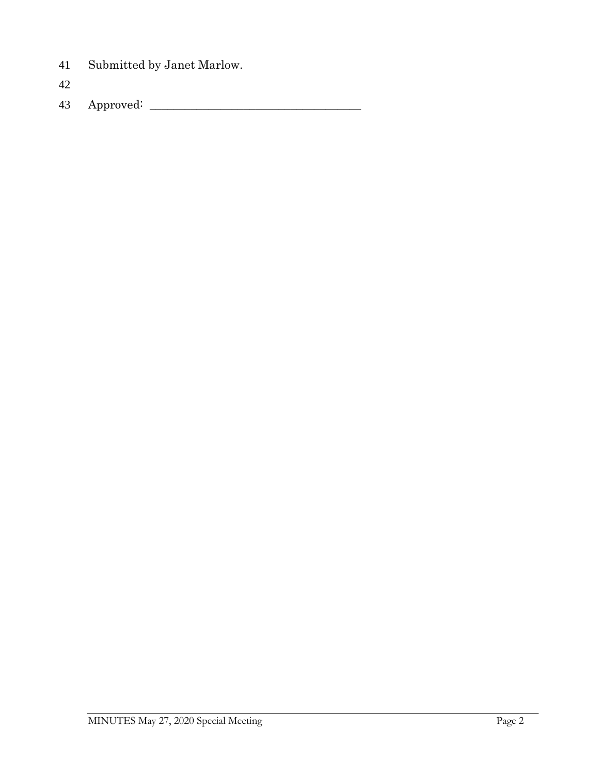Submitted by Janet Marlow.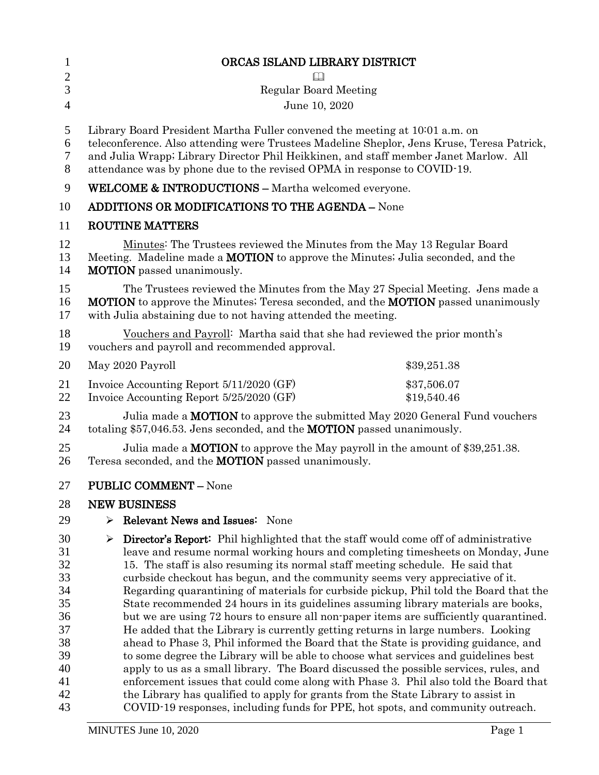| <b>Regular Board Meeting</b>                                                                                                                                                                                                                                                                                                                                                                                                                                                                                                                                                                                                                                                                                                                                                                                                                                                                                                                                                                                                                                                                                                                                          |                                                                                                                                        |
|-----------------------------------------------------------------------------------------------------------------------------------------------------------------------------------------------------------------------------------------------------------------------------------------------------------------------------------------------------------------------------------------------------------------------------------------------------------------------------------------------------------------------------------------------------------------------------------------------------------------------------------------------------------------------------------------------------------------------------------------------------------------------------------------------------------------------------------------------------------------------------------------------------------------------------------------------------------------------------------------------------------------------------------------------------------------------------------------------------------------------------------------------------------------------|----------------------------------------------------------------------------------------------------------------------------------------|
| June 10, 2020                                                                                                                                                                                                                                                                                                                                                                                                                                                                                                                                                                                                                                                                                                                                                                                                                                                                                                                                                                                                                                                                                                                                                         |                                                                                                                                        |
| Library Board President Martha Fuller convened the meeting at 10001 a.m. on<br>teleconference. Also attending were Trustees Madeline Sheplor, Jens Kruse, Teresa Patrick,<br>and Julia Wrapp; Library Director Phil Heikkinen, and staff member Janet Marlow. All<br>attendance was by phone due to the revised OPMA in response to COVID-19.                                                                                                                                                                                                                                                                                                                                                                                                                                                                                                                                                                                                                                                                                                                                                                                                                         |                                                                                                                                        |
| <b>WELCOME &amp; INTRODUCTIONS - Martha welcomed everyone.</b>                                                                                                                                                                                                                                                                                                                                                                                                                                                                                                                                                                                                                                                                                                                                                                                                                                                                                                                                                                                                                                                                                                        |                                                                                                                                        |
| <b>ADDITIONS OR MODIFICATIONS TO THE AGENDA - None</b>                                                                                                                                                                                                                                                                                                                                                                                                                                                                                                                                                                                                                                                                                                                                                                                                                                                                                                                                                                                                                                                                                                                |                                                                                                                                        |
| <b>ROUTINE MATTERS</b>                                                                                                                                                                                                                                                                                                                                                                                                                                                                                                                                                                                                                                                                                                                                                                                                                                                                                                                                                                                                                                                                                                                                                |                                                                                                                                        |
| Minutes: The Trustees reviewed the Minutes from the May 13 Regular Board<br>Meeting. Madeline made a <b>MOTION</b> to approve the Minutes; Julia seconded, and the<br><b>MOTION</b> passed unanimously.                                                                                                                                                                                                                                                                                                                                                                                                                                                                                                                                                                                                                                                                                                                                                                                                                                                                                                                                                               |                                                                                                                                        |
| The Trustees reviewed the Minutes from the May 27 Special Meeting. Jens made a<br><b>MOTION</b> to approve the Minutes; Teresa seconded, and the <b>MOTION</b> passed unanimously<br>with Julia abstaining due to not having attended the meeting.                                                                                                                                                                                                                                                                                                                                                                                                                                                                                                                                                                                                                                                                                                                                                                                                                                                                                                                    |                                                                                                                                        |
| Vouchers and Payroll: Martha said that she had reviewed the prior month's<br>vouchers and payroll and recommended approval.                                                                                                                                                                                                                                                                                                                                                                                                                                                                                                                                                                                                                                                                                                                                                                                                                                                                                                                                                                                                                                           |                                                                                                                                        |
| May 2020 Payroll                                                                                                                                                                                                                                                                                                                                                                                                                                                                                                                                                                                                                                                                                                                                                                                                                                                                                                                                                                                                                                                                                                                                                      | \$39,251.38                                                                                                                            |
| Invoice Accounting Report 5/11/2020 (GF)<br>Invoice Accounting Report 5/25/2020 (GF)                                                                                                                                                                                                                                                                                                                                                                                                                                                                                                                                                                                                                                                                                                                                                                                                                                                                                                                                                                                                                                                                                  | \$37,506.07<br>\$19,540.46                                                                                                             |
| Julia made a <b>MOTION</b> to approve the submitted May 2020 General Fund vouchers<br>totaling \$57,046.53. Jens seconded, and the <b>MOTION</b> passed unanimously.                                                                                                                                                                                                                                                                                                                                                                                                                                                                                                                                                                                                                                                                                                                                                                                                                                                                                                                                                                                                  |                                                                                                                                        |
| Julia made a <b>MOTION</b> to approve the May payroll in the amount of \$39,251.38.<br>Teresa seconded, and the <b>MOTION</b> passed unanimously.                                                                                                                                                                                                                                                                                                                                                                                                                                                                                                                                                                                                                                                                                                                                                                                                                                                                                                                                                                                                                     |                                                                                                                                        |
|                                                                                                                                                                                                                                                                                                                                                                                                                                                                                                                                                                                                                                                                                                                                                                                                                                                                                                                                                                                                                                                                                                                                                                       |                                                                                                                                        |
|                                                                                                                                                                                                                                                                                                                                                                                                                                                                                                                                                                                                                                                                                                                                                                                                                                                                                                                                                                                                                                                                                                                                                                       |                                                                                                                                        |
| Relevant News and Issues: None<br>⋗                                                                                                                                                                                                                                                                                                                                                                                                                                                                                                                                                                                                                                                                                                                                                                                                                                                                                                                                                                                                                                                                                                                                   |                                                                                                                                        |
| <b>Director's Report:</b> Phil highlighted that the staff would come off of administrative<br>≻<br>leave and resume normal working hours and completing timesheets on Monday, June<br>15. The staff is also resuming its normal staff meeting schedule. He said that<br>curbside checkout has begun, and the community seems very appreciative of it.<br>Regarding quarantining of materials for curbside pickup, Phil told the Board that the<br>State recommended 24 hours in its guidelines assuming library materials are books,<br>but we are using 72 hours to ensure all non-paper items are sufficiently quarantined.<br>He added that the Library is currently getting returns in large numbers. Looking<br>ahead to Phase 3, Phil informed the Board that the State is providing guidance, and<br>to some degree the Library will be able to choose what services and guidelines best<br>apply to us as a small library. The Board discussed the possible services, rules, and<br>enforcement issues that could come along with Phase 3. Phil also told the Board that<br>the Library has qualified to apply for grants from the State Library to assist in |                                                                                                                                        |
|                                                                                                                                                                                                                                                                                                                                                                                                                                                                                                                                                                                                                                                                                                                                                                                                                                                                                                                                                                                                                                                                                                                                                                       | <b>PUBLIC COMMENT - None</b><br><b>NEW BUSINESS</b><br>COVID-19 responses, including funds for PPE, hot spots, and community outreach. |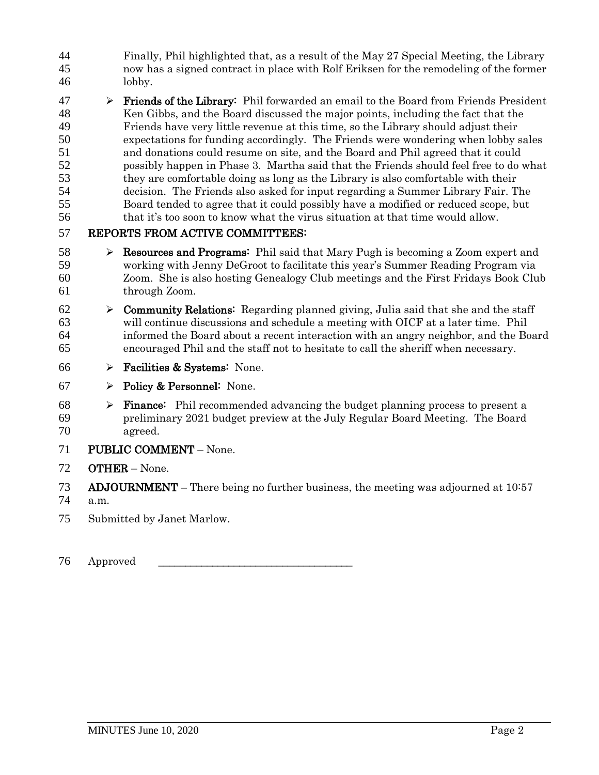- Finally, Phil highlighted that, as a result of the May 27 Special Meeting, the Library now has a signed contract in place with Rolf Eriksen for the remodeling of the former lobby.
- $47 \rightarrow$  **Friends of the Library:** Phil forwarded an email to the Board from Friends President Ken Gibbs, and the Board discussed the major points, including the fact that the Friends have very little revenue at this time, so the Library should adjust their expectations for funding accordingly. The Friends were wondering when lobby sales and donations could resume on site, and the Board and Phil agreed that it could possibly happen in Phase 3. Martha said that the Friends should feel free to do what they are comfortable doing as long as the Library is also comfortable with their decision. The Friends also asked for input regarding a Summer Library Fair. The Board tended to agree that it could possibly have a modified or reduced scope, but 56 that it's too soon to know what the virus situation at that time would allow.

- 58 Resources and Programs: Phil said that Mary Pugh is becoming a Zoom expert and working with Jenny DeGroot to facilitate this year's Summer Reading Program via Zoom. She is also hosting Genealogy Club meetings and the First Fridays Book Club through Zoom.
- 62  $\triangleright$  **Community Relations:** Regarding planned giving, Julia said that she and the staff will continue discussions and schedule a meeting with OICF at a later time. Phil informed the Board about a recent interaction with an angry neighbor, and the Board encouraged Phil and the staff not to hesitate to call the sheriff when necessary.
- 66  $\triangleright$  Facilities & Systems: None.
- 67  $\triangleright$  Policy & Personnel: None.
- $68 \rightarrow$  **Finance:** Phil recommended advancing the budget planning process to present a preliminary 2021 budget preview at the July Regular Board Meeting. The Board agreed.
- PUBLIC COMMENT None.
- OTHER None.
- 73 ADJOURNMENT There being no further business, the meeting was adjourned at  $10:57$
- a.m.
- Submitted by Janet Marlow.
- 76 Approved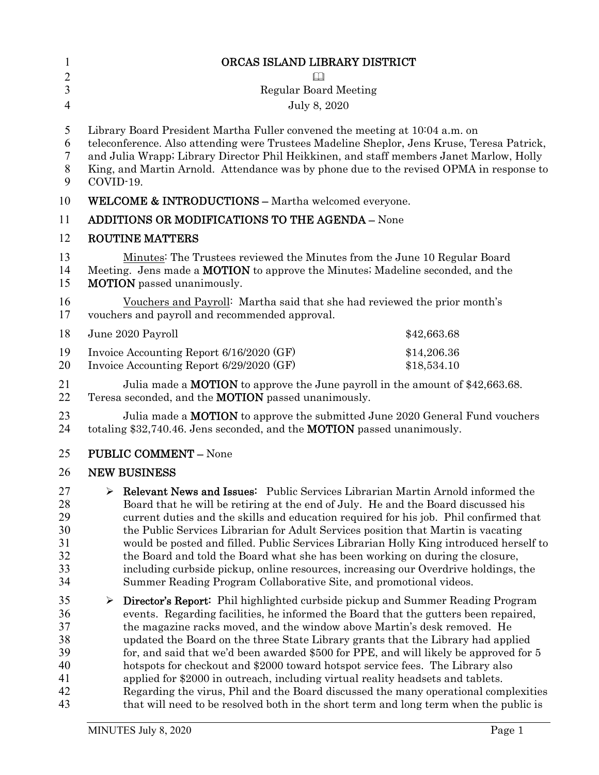| $\mathbf{1}$                                       | ORCAS ISLAND LIBRARY DISTRICT                                                                                                                                                                                                                                                                                                                                                                                                                                                                                                                                                                                                                                                                                                                                                                        |                            |  |
|----------------------------------------------------|------------------------------------------------------------------------------------------------------------------------------------------------------------------------------------------------------------------------------------------------------------------------------------------------------------------------------------------------------------------------------------------------------------------------------------------------------------------------------------------------------------------------------------------------------------------------------------------------------------------------------------------------------------------------------------------------------------------------------------------------------------------------------------------------------|----------------------------|--|
| $\sqrt{2}$                                         |                                                                                                                                                                                                                                                                                                                                                                                                                                                                                                                                                                                                                                                                                                                                                                                                      |                            |  |
| $\overline{3}$                                     | <b>Regular Board Meeting</b>                                                                                                                                                                                                                                                                                                                                                                                                                                                                                                                                                                                                                                                                                                                                                                         |                            |  |
| $\overline{4}$                                     | July 8, 2020                                                                                                                                                                                                                                                                                                                                                                                                                                                                                                                                                                                                                                                                                                                                                                                         |                            |  |
| 5<br>6<br>$\tau$<br>$8\,$<br>9                     | Library Board President Martha Fuller convened the meeting at 1004 a.m. on<br>teleconference. Also attending were Trustees Madeline Sheplor, Jens Kruse, Teresa Patrick,<br>and Julia Wrapp; Library Director Phil Heikkinen, and staff members Janet Marlow, Holly<br>King, and Martin Arnold. Attendance was by phone due to the revised OPMA in response to<br>COVID-19.                                                                                                                                                                                                                                                                                                                                                                                                                          |                            |  |
| 10                                                 | <b>WELCOME &amp; INTRODUCTIONS - Martha welcomed everyone.</b>                                                                                                                                                                                                                                                                                                                                                                                                                                                                                                                                                                                                                                                                                                                                       |                            |  |
| 11                                                 | <b>ADDITIONS OR MODIFICATIONS TO THE AGENDA - None</b>                                                                                                                                                                                                                                                                                                                                                                                                                                                                                                                                                                                                                                                                                                                                               |                            |  |
| 12                                                 | <b>ROUTINE MATTERS</b>                                                                                                                                                                                                                                                                                                                                                                                                                                                                                                                                                                                                                                                                                                                                                                               |                            |  |
| 13<br>14<br>15                                     | Minutes: The Trustees reviewed the Minutes from the June 10 Regular Board<br>Meeting. Jens made a <b>MOTION</b> to approve the Minutes; Madeline seconded, and the<br><b>MOTION</b> passed unanimously.                                                                                                                                                                                                                                                                                                                                                                                                                                                                                                                                                                                              |                            |  |
| 16<br>17                                           | Vouchers and Payroll: Martha said that she had reviewed the prior month's<br>vouchers and payroll and recommended approval.                                                                                                                                                                                                                                                                                                                                                                                                                                                                                                                                                                                                                                                                          |                            |  |
| 18                                                 | June 2020 Payroll                                                                                                                                                                                                                                                                                                                                                                                                                                                                                                                                                                                                                                                                                                                                                                                    | \$42,663.68                |  |
| 19<br>20                                           | Invoice Accounting Report 6/16/2020 (GF)<br>Invoice Accounting Report 6/29/2020 (GF)                                                                                                                                                                                                                                                                                                                                                                                                                                                                                                                                                                                                                                                                                                                 | \$14,206.36<br>\$18,534.10 |  |
| 21<br>22                                           | Julia made a <b>MOTION</b> to approve the June payroll in the amount of \$42,663.68.<br>Teresa seconded, and the <b>MOTION</b> passed unanimously.                                                                                                                                                                                                                                                                                                                                                                                                                                                                                                                                                                                                                                                   |                            |  |
| 23<br>24                                           | Julia made a <b>MOTION</b> to approve the submitted June 2020 General Fund vouchers<br>totaling \$32,740.46. Jens seconded, and the <b>MOTION</b> passed unanimously.                                                                                                                                                                                                                                                                                                                                                                                                                                                                                                                                                                                                                                |                            |  |
| 25                                                 | <b>PUBLIC COMMENT - None</b>                                                                                                                                                                                                                                                                                                                                                                                                                                                                                                                                                                                                                                                                                                                                                                         |                            |  |
| 26                                                 | <b>NEW BUSINESS</b>                                                                                                                                                                                                                                                                                                                                                                                                                                                                                                                                                                                                                                                                                                                                                                                  |                            |  |
| 27<br>28<br>29<br>30<br>31<br>32<br>33<br>34       | $\triangleright$ Relevant News and Issues: Public Services Librarian Martin Arnold informed the<br>Board that he will be retiring at the end of July. He and the Board discussed his<br>current duties and the skills and education required for his job. Phil confirmed that<br>the Public Services Librarian for Adult Services position that Martin is vacating<br>would be posted and filled. Public Services Librarian Holly King introduced herself to<br>the Board and told the Board what she has been working on during the closure,<br>including curbside pickup, online resources, increasing our Overdrive holdings, the<br>Summer Reading Program Collaborative Site, and promotional videos.                                                                                           |                            |  |
| 35<br>36<br>37<br>38<br>39<br>40<br>41<br>42<br>43 | $\triangleright$ Director's Report: Phil highlighted curbside pickup and Summer Reading Program<br>events. Regarding facilities, he informed the Board that the gutters been repaired,<br>the magazine racks moved, and the window above Martin's desk removed. He<br>updated the Board on the three State Library grants that the Library had applied<br>for, and said that we'd been awarded \$500 for PPE, and will likely be approved for 5<br>hotspots for checkout and \$2000 toward hotspot service fees. The Library also<br>applied for \$2000 in outreach, including virtual reality headsets and tablets.<br>Regarding the virus, Phil and the Board discussed the many operational complexities<br>that will need to be resolved both in the short term and long term when the public is |                            |  |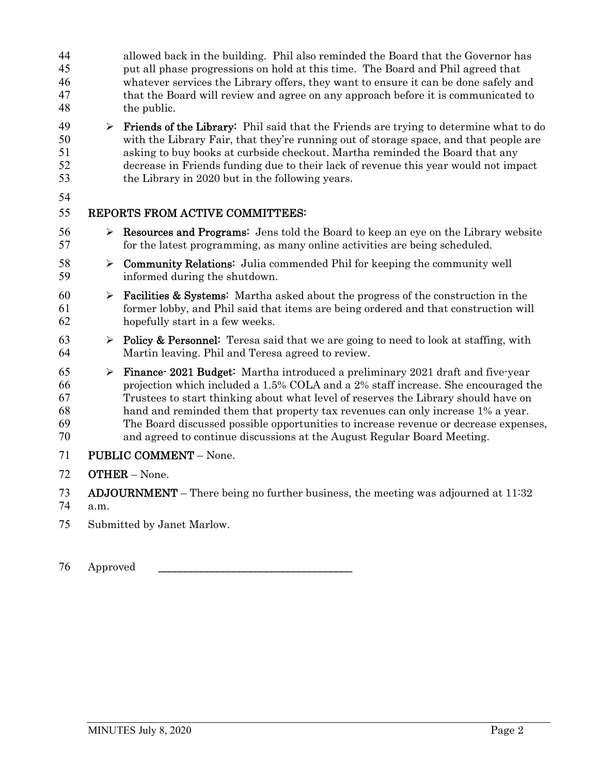| 44<br>45<br>46<br>47<br>48       |                       | allowed back in the building. Phil also reminded the Board that the Governor has<br>put all phase progressions on hold at this time. The Board and Phil agreed that<br>whatever services the Library offers, they want to ensure it can be done safely and<br>that the Board will review and agree on any approach before it is communicated to<br>the public.                                                                                                                                                |
|----------------------------------|-----------------------|---------------------------------------------------------------------------------------------------------------------------------------------------------------------------------------------------------------------------------------------------------------------------------------------------------------------------------------------------------------------------------------------------------------------------------------------------------------------------------------------------------------|
| 49<br>50<br>51<br>52<br>53       | $\blacktriangleright$ | <b>Friends of the Library:</b> Phil said that the Friends are trying to determine what to do<br>with the Library Fair, that they're running out of storage space, and that people are<br>asking to buy books at curbside checkout. Martha reminded the Board that any<br>decrease in Friends funding due to their lack of revenue this year would not impact<br>the Library in 2020 but in the following years.                                                                                               |
| 54<br>55                         |                       | REPORTS FROM ACTIVE COMMITTEES:                                                                                                                                                                                                                                                                                                                                                                                                                                                                               |
|                                  |                       |                                                                                                                                                                                                                                                                                                                                                                                                                                                                                                               |
| 56<br>57                         | ➤                     | <b>Resources and Programs:</b> Jens told the Board to keep an eye on the Library website<br>for the latest programming, as many online activities are being scheduled.                                                                                                                                                                                                                                                                                                                                        |
| 58<br>59                         |                       | $\triangleright$ Community Relations: Julia commended Phil for keeping the community well<br>informed during the shutdown.                                                                                                                                                                                                                                                                                                                                                                                    |
| 60<br>61<br>62                   | ➤                     | <b>Facilities &amp; Systems:</b> Martha asked about the progress of the construction in the<br>former lobby, and Phil said that items are being ordered and that construction will<br>hopefully start in a few weeks.                                                                                                                                                                                                                                                                                         |
| 63<br>64                         | $\blacktriangleright$ | Policy & Personnel: Teresa said that we are going to need to look at staffing, with<br>Martin leaving. Phil and Teresa agreed to review.                                                                                                                                                                                                                                                                                                                                                                      |
| 65<br>66<br>67<br>68<br>69<br>70 | $\blacktriangleright$ | Finance 2021 Budget: Martha introduced a preliminary 2021 draft and five year<br>projection which included a 1.5% COLA and a 2% staff increase. She encouraged the<br>Trustees to start thinking about what level of reserves the Library should have on<br>hand and reminded them that property tax revenues can only increase 1% a year.<br>The Board discussed possible opportunities to increase revenue or decrease expenses,<br>and agreed to continue discussions at the August Regular Board Meeting. |
| 71                               |                       | <b>PUBLIC COMMENT - None.</b>                                                                                                                                                                                                                                                                                                                                                                                                                                                                                 |
| 72                               |                       | <b>OTHER</b> - None.                                                                                                                                                                                                                                                                                                                                                                                                                                                                                          |
|                                  |                       |                                                                                                                                                                                                                                                                                                                                                                                                                                                                                                               |
| 73<br>74                         | a.m.                  | $ADJOURNMENT$ – There being no further business, the meeting was adjourned at $11:32$                                                                                                                                                                                                                                                                                                                                                                                                                         |

Submitted by Janet Marlow.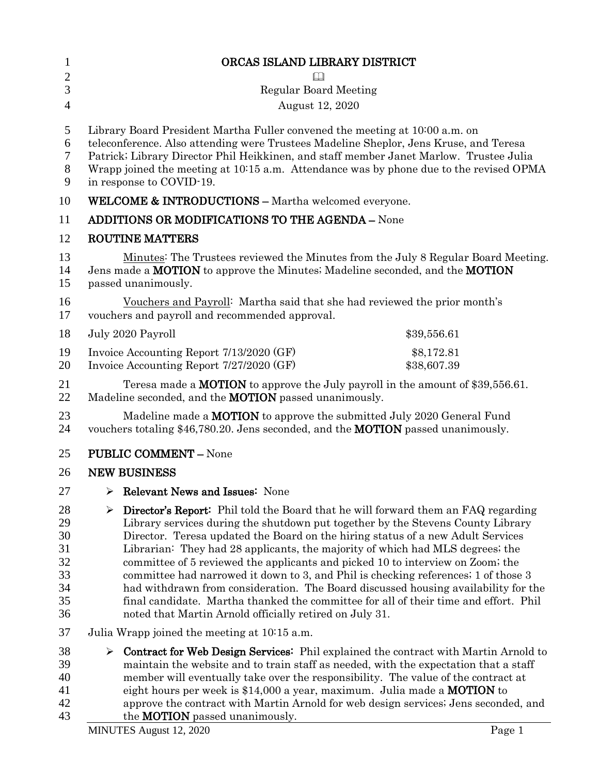| $\mathbf{1}$                                       | ORCAS ISLAND LIBRARY DISTRICT                                                                                                                                                                                                                                                                                                                                                                                                                                                                                                                                                                                                                                                                                                                                         |  |
|----------------------------------------------------|-----------------------------------------------------------------------------------------------------------------------------------------------------------------------------------------------------------------------------------------------------------------------------------------------------------------------------------------------------------------------------------------------------------------------------------------------------------------------------------------------------------------------------------------------------------------------------------------------------------------------------------------------------------------------------------------------------------------------------------------------------------------------|--|
| $\overline{c}$                                     |                                                                                                                                                                                                                                                                                                                                                                                                                                                                                                                                                                                                                                                                                                                                                                       |  |
| 3<br>$\overline{4}$                                | <b>Regular Board Meeting</b>                                                                                                                                                                                                                                                                                                                                                                                                                                                                                                                                                                                                                                                                                                                                          |  |
|                                                    | August 12, 2020                                                                                                                                                                                                                                                                                                                                                                                                                                                                                                                                                                                                                                                                                                                                                       |  |
| 5<br>6<br>7<br>$8\,$<br>9                          | Library Board President Martha Fuller convened the meeting at 10:00 a.m. on<br>teleconference. Also attending were Trustees Madeline Sheplor, Jens Kruse, and Teresa<br>Patrick; Library Director Phil Heikkinen, and staff member Janet Marlow. Trustee Julia<br>Wrapp joined the meeting at 10:15 a.m. Attendance was by phone due to the revised OPMA<br>in response to COVID-19.                                                                                                                                                                                                                                                                                                                                                                                  |  |
| 10                                                 | <b>WELCOME &amp; INTRODUCTIONS - Martha welcomed everyone.</b>                                                                                                                                                                                                                                                                                                                                                                                                                                                                                                                                                                                                                                                                                                        |  |
| 11                                                 | <b>ADDITIONS OR MODIFICATIONS TO THE AGENDA - None</b>                                                                                                                                                                                                                                                                                                                                                                                                                                                                                                                                                                                                                                                                                                                |  |
| 12                                                 | <b>ROUTINE MATTERS</b>                                                                                                                                                                                                                                                                                                                                                                                                                                                                                                                                                                                                                                                                                                                                                |  |
| 13<br>14<br>15                                     | Minutes: The Trustees reviewed the Minutes from the July 8 Regular Board Meeting.<br>Jens made a MOTION to approve the Minutes; Madeline seconded, and the MOTION<br>passed unanimously.                                                                                                                                                                                                                                                                                                                                                                                                                                                                                                                                                                              |  |
| 16<br>17                                           | Vouchers and Payroll: Martha said that she had reviewed the prior month's<br>vouchers and payroll and recommended approval.                                                                                                                                                                                                                                                                                                                                                                                                                                                                                                                                                                                                                                           |  |
| 18                                                 | July 2020 Payroll<br>\$39,556.61                                                                                                                                                                                                                                                                                                                                                                                                                                                                                                                                                                                                                                                                                                                                      |  |
| 19<br>20                                           | Invoice Accounting Report 7/13/2020 (GF)<br>\$8,172.81<br>Invoice Accounting Report 7/27/2020 (GF)<br>\$38,607.39                                                                                                                                                                                                                                                                                                                                                                                                                                                                                                                                                                                                                                                     |  |
| 21<br>22                                           | Teresa made a <b>MOTION</b> to approve the July payroll in the amount of \$39,556.61.<br>Madeline seconded, and the MOTION passed unanimously.                                                                                                                                                                                                                                                                                                                                                                                                                                                                                                                                                                                                                        |  |
| 23<br>24                                           | Madeline made a <b>MOTION</b> to approve the submitted July 2020 General Fund<br>vouchers totaling \$46,780.20. Jens seconded, and the <b>MOTION</b> passed unanimously.                                                                                                                                                                                                                                                                                                                                                                                                                                                                                                                                                                                              |  |
| 25                                                 | <b>PUBLIC COMMENT - None</b>                                                                                                                                                                                                                                                                                                                                                                                                                                                                                                                                                                                                                                                                                                                                          |  |
| 26                                                 | <b>NEW BUSINESS</b>                                                                                                                                                                                                                                                                                                                                                                                                                                                                                                                                                                                                                                                                                                                                                   |  |
| 27                                                 | $\triangleright$ Relevant News and Issues: None                                                                                                                                                                                                                                                                                                                                                                                                                                                                                                                                                                                                                                                                                                                       |  |
| 28<br>29<br>30<br>31<br>32<br>33<br>34<br>35<br>36 | <b>Director's Report:</b> Phil told the Board that he will forward them an FAQ regarding<br>➤<br>Library services during the shutdown put together by the Stevens County Library<br>Director. Teresa updated the Board on the hiring status of a new Adult Services<br>Librarian: They had 28 applicants, the majority of which had MLS degrees; the<br>committee of 5 reviewed the applicants and picked 10 to interview on Zoom; the<br>committee had narrowed it down to 3, and Phil is checking references; 1 of those 3<br>had withdrawn from consideration. The Board discussed housing availability for the<br>final candidate. Martha thanked the committee for all of their time and effort. Phil<br>noted that Martin Arnold officially retired on July 31. |  |
| 37                                                 | Julia Wrapp joined the meeting at 10:15 a.m.                                                                                                                                                                                                                                                                                                                                                                                                                                                                                                                                                                                                                                                                                                                          |  |
| 38<br>39<br>40<br>41                               | <b>Contract for Web Design Services:</b> Phil explained the contract with Martin Arnold to<br>➤<br>maintain the website and to train staff as needed, with the expectation that a staff<br>member will eventually take over the responsibility. The value of the contract at<br>eight hours per week is \$14,000 a year, maximum. Julia made a MOTION to                                                                                                                                                                                                                                                                                                                                                                                                              |  |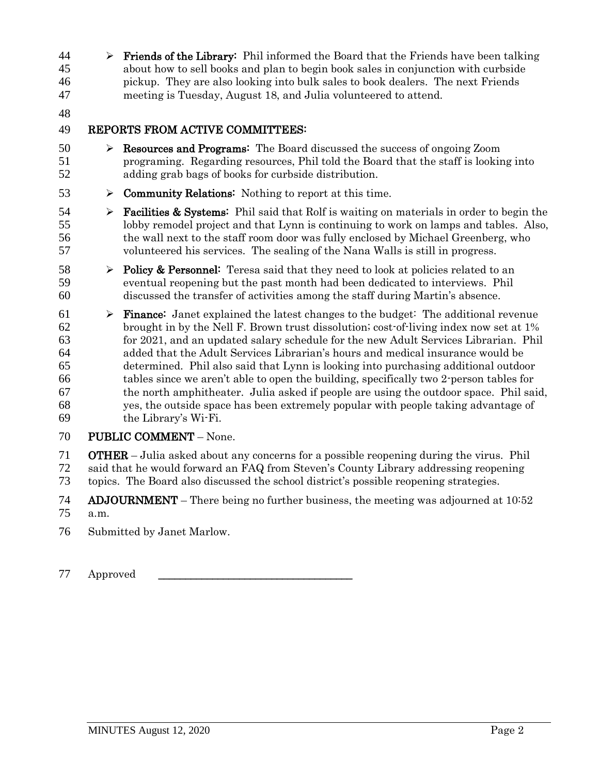$\triangleright$  Friends of the Library: Phil informed the Board that the Friends have been talking about how to sell books and plan to begin book sales in conjunction with curbside pickup. They are also looking into bulk sales to book dealers. The next Friends meeting is Tuesday, August 18, and Julia volunteered to attend.

## REPORTS FROM ACTIVE COMMITTEES:

- 50  $\triangleright$  **Resources and Programs:** The Board discussed the success of ongoing Zoom programing. Regarding resources, Phil told the Board that the staff is looking into adding grab bags of books for curbside distribution.
- 53  $\triangleright$  **Community Relations:** Nothing to report at this time.
- **Facilities & Systems:** Phil said that Rolf is waiting on materials in order to begin the lobby remodel project and that Lynn is continuing to work on lamps and tables. Also, the wall next to the staff room door was fully enclosed by Michael Greenberg, who volunteered his services. The sealing of the Nana Walls is still in progress.
- 58  $\rightarrow$  Policy & Personnel: Teresa said that they need to look at policies related to an eventual reopening but the past month had been dedicated to interviews. Phil discussed the transfer of activities among the staff during Martin's absence.
- 61  $\triangleright$  **Finance:** Janet explained the latest changes to the budget: The additional revenue brought in by the Nell F. Brown trust dissolution; cost-of-living index now set at 1% for 2021, and an updated salary schedule for the new Adult Services Librarian. Phil added that the Adult Services Librarian's hours and medical insurance would be determined. Phil also said that Lynn is looking into purchasing additional outdoor tables since we aren't able to open the building, specifically two 2-person tables for the north amphitheater. Julia asked if people are using the outdoor space. Phil said, yes, the outside space has been extremely popular with people taking advantage of the Library's Wi-Fi.

## PUBLIC COMMENT – None.

 OTHER – Julia asked about any concerns for a possible reopening during the virus. Phil said that he would forward an FAQ from Steven's County Library addressing reopening topics. The Board also discussed the school district's possible reopening strategies.

- ADJOURNMENT There being no further business, the meeting was adjourned at 10:52 a.m.
- Submitted by Janet Marlow.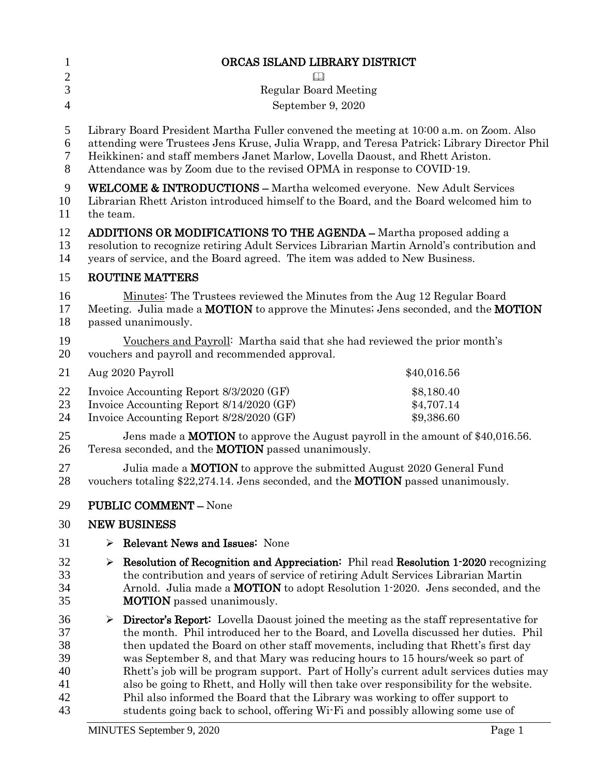| $\mathbf{1}$                                 | ORCAS ISLAND LIBRARY DISTRICT                                                                                                                                                                                                                                                                                                                    |                                                                                                                                                                                                                                                                                                                                                                                                                                                                                                                                                                                                                                                                                                                 |  |
|----------------------------------------------|--------------------------------------------------------------------------------------------------------------------------------------------------------------------------------------------------------------------------------------------------------------------------------------------------------------------------------------------------|-----------------------------------------------------------------------------------------------------------------------------------------------------------------------------------------------------------------------------------------------------------------------------------------------------------------------------------------------------------------------------------------------------------------------------------------------------------------------------------------------------------------------------------------------------------------------------------------------------------------------------------------------------------------------------------------------------------------|--|
| $\overline{c}$                               |                                                                                                                                                                                                                                                                                                                                                  |                                                                                                                                                                                                                                                                                                                                                                                                                                                                                                                                                                                                                                                                                                                 |  |
| 3                                            |                                                                                                                                                                                                                                                                                                                                                  | <b>Regular Board Meeting</b>                                                                                                                                                                                                                                                                                                                                                                                                                                                                                                                                                                                                                                                                                    |  |
| $\overline{4}$                               |                                                                                                                                                                                                                                                                                                                                                  | September 9, 2020                                                                                                                                                                                                                                                                                                                                                                                                                                                                                                                                                                                                                                                                                               |  |
| 5<br>6<br>$\tau$<br>8                        | Library Board President Martha Fuller convened the meeting at 10:00 a.m. on Zoom. Also<br>attending were Trustees Jens Kruse, Julia Wrapp, and Teresa Patrick; Library Director Phil<br>Heikkinen; and staff members Janet Marlow, Lovella Daoust, and Rhett Ariston.<br>Attendance was by Zoom due to the revised OPMA in response to COVID-19. |                                                                                                                                                                                                                                                                                                                                                                                                                                                                                                                                                                                                                                                                                                                 |  |
| 9<br>10<br>11                                | <b>WELCOME &amp; INTRODUCTIONS - Martha welcomed everyone. New Adult Services</b><br>Librarian Rhett Ariston introduced himself to the Board, and the Board welcomed him to<br>the team.                                                                                                                                                         |                                                                                                                                                                                                                                                                                                                                                                                                                                                                                                                                                                                                                                                                                                                 |  |
| 12<br>13<br>14                               | <b>ADDITIONS OR MODIFICATIONS TO THE AGENDA – Martha proposed adding a</b><br>resolution to recognize retiring Adult Services Librarian Martin Arnold's contribution and<br>years of service, and the Board agreed. The item was added to New Business.                                                                                          |                                                                                                                                                                                                                                                                                                                                                                                                                                                                                                                                                                                                                                                                                                                 |  |
| 15                                           |                                                                                                                                                                                                                                                                                                                                                  | <b>ROUTINE MATTERS</b>                                                                                                                                                                                                                                                                                                                                                                                                                                                                                                                                                                                                                                                                                          |  |
| 16<br>17<br>18                               |                                                                                                                                                                                                                                                                                                                                                  | Minutes: The Trustees reviewed the Minutes from the Aug 12 Regular Board<br>Meeting. Julia made a <b>MOTION</b> to approve the Minutes; Jens seconded, and the <b>MOTION</b><br>passed unanimously.                                                                                                                                                                                                                                                                                                                                                                                                                                                                                                             |  |
| 19<br>20                                     |                                                                                                                                                                                                                                                                                                                                                  | Vouchers and Payroll: Martha said that she had reviewed the prior month's<br>vouchers and payroll and recommended approval.                                                                                                                                                                                                                                                                                                                                                                                                                                                                                                                                                                                     |  |
| 21                                           |                                                                                                                                                                                                                                                                                                                                                  | Aug 2020 Payroll<br>\$40,016.56                                                                                                                                                                                                                                                                                                                                                                                                                                                                                                                                                                                                                                                                                 |  |
| 22<br>23<br>24                               |                                                                                                                                                                                                                                                                                                                                                  | Invoice Accounting Report 8/3/2020 (GF)<br>\$8,180.40<br>Invoice Accounting Report 8/14/2020 (GF)<br>\$4,707.14<br>Invoice Accounting Report 8/28/2020 (GF)<br>\$9,386.60                                                                                                                                                                                                                                                                                                                                                                                                                                                                                                                                       |  |
| 25<br>26                                     | Jens made a <b>MOTION</b> to approve the August payroll in the amount of \$40,016.56.<br>Teresa seconded, and the <b>MOTION</b> passed unanimously.                                                                                                                                                                                              |                                                                                                                                                                                                                                                                                                                                                                                                                                                                                                                                                                                                                                                                                                                 |  |
| 27<br>28                                     | Julia made a <b>MOTION</b> to approve the submitted August 2020 General Fund<br>vouchers totaling \$22,274.14. Jens seconded, and the <b>MOTION</b> passed unanimously.                                                                                                                                                                          |                                                                                                                                                                                                                                                                                                                                                                                                                                                                                                                                                                                                                                                                                                                 |  |
| 29                                           |                                                                                                                                                                                                                                                                                                                                                  | <b>PUBLIC COMMENT - None</b>                                                                                                                                                                                                                                                                                                                                                                                                                                                                                                                                                                                                                                                                                    |  |
| 30                                           |                                                                                                                                                                                                                                                                                                                                                  | <b>NEW BUSINESS</b>                                                                                                                                                                                                                                                                                                                                                                                                                                                                                                                                                                                                                                                                                             |  |
| 31                                           | ➤                                                                                                                                                                                                                                                                                                                                                | <b>Relevant News and Issues: None</b>                                                                                                                                                                                                                                                                                                                                                                                                                                                                                                                                                                                                                                                                           |  |
| 32<br>33<br>34<br>35                         | ➤                                                                                                                                                                                                                                                                                                                                                | <b>Resolution of Recognition and Appreciation:</b> Phil read Resolution 1-2020 recognizing<br>the contribution and years of service of retiring Adult Services Librarian Martin<br>Arnold. Julia made a MOTION to adopt Resolution 1-2020. Jens seconded, and the<br><b>MOTION</b> passed unanimously.                                                                                                                                                                                                                                                                                                                                                                                                          |  |
| 36<br>37<br>38<br>39<br>40<br>41<br>42<br>43 | ➤                                                                                                                                                                                                                                                                                                                                                | <b>Director's Report:</b> Lovella Daoust joined the meeting as the staff representative for<br>the month. Phil introduced her to the Board, and Lovella discussed her duties. Phil<br>then updated the Board on other staff movements, including that Rhett's first day<br>was September 8, and that Mary was reducing hours to 15 hours/week so part of<br>Rhett's job will be program support. Part of Holly's current adult services duties may<br>also be going to Rhett, and Holly will then take over responsibility for the website.<br>Phil also informed the Board that the Library was working to offer support to<br>students going back to school, offering Wi-Fi and possibly allowing some use of |  |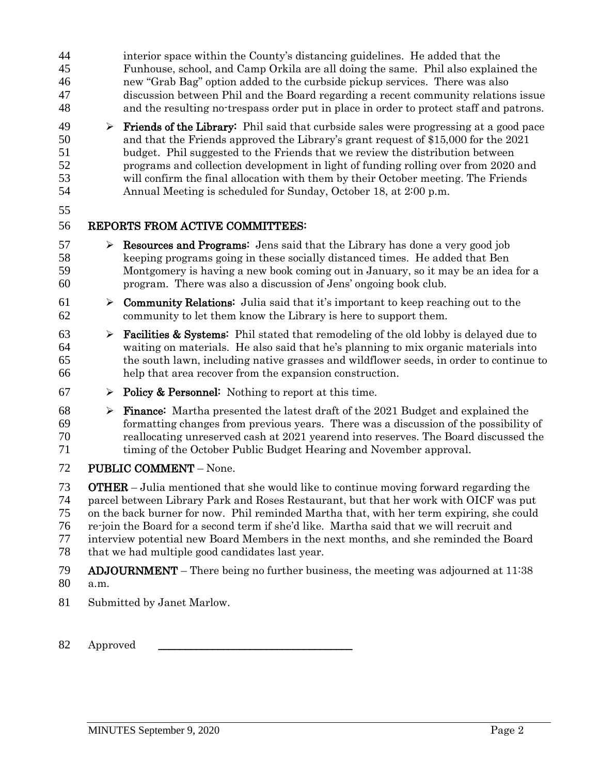- interior space within the County's distancing guidelines. He added that the Funhouse, school, and Camp Orkila are all doing the same. Phil also explained the new "Grab Bag" option added to the curbside pickup services. There was also discussion between Phil and the Board regarding a recent community relations issue and the resulting no-trespass order put in place in order to protect staff and patrons.
- **Friends of the Library:** Phil said that curbside sales were progressing at a good pace and that the Friends approved the Library's grant request of \$15,000 for the 2021 budget. Phil suggested to the Friends that we review the distribution between programs and collection development in light of funding rolling over from 2020 and will confirm the final allocation with them by their October meeting. The Friends Annual Meeting is scheduled for Sunday, October 18, at 2:00 p.m.
- 

- $57 \rightarrow$  **Resources and Programs:** Jens said that the Library has done a very good job keeping programs going in these socially distanced times. He added that Ben Montgomery is having a new book coming out in January, so it may be an idea for a program. There was also a discussion of Jens' ongoing book club.
- 61  $\triangleright$  **Community Relations:** Julia said that it's important to keep reaching out to the community to let them know the Library is here to support them.
- **Facilities & Systems:** Phil stated that remodeling of the old lobby is delayed due to waiting on materials. He also said that he's planning to mix organic materials into the south lawn, including native grasses and wildflower seeds, in order to continue to help that area recover from the expansion construction.
- 67  $\triangleright$  Policy & Personnel: Nothing to report at this time.
- **Finance:** Martha presented the latest draft of the 2021 Budget and explained the formatting changes from previous years. There was a discussion of the possibility of reallocating unreserved cash at 2021 yearend into reserves. The Board discussed the timing of the October Public Budget Hearing and November approval.
- PUBLIC COMMENT None.

**OTHER** – Julia mentioned that she would like to continue moving forward regarding the parcel between Library Park and Roses Restaurant, but that her work with OICF was put on the back burner for now. Phil reminded Martha that, with her term expiring, she could re-join the Board for a second term if she'd like. Martha said that we will recruit and interview potential new Board Members in the next months, and she reminded the Board that we had multiple good candidates last year.

- ADJOURNMENT There being no further business, the meeting was adjourned at 11:38 a.m.
- Submitted by Janet Marlow.
- 82 Approved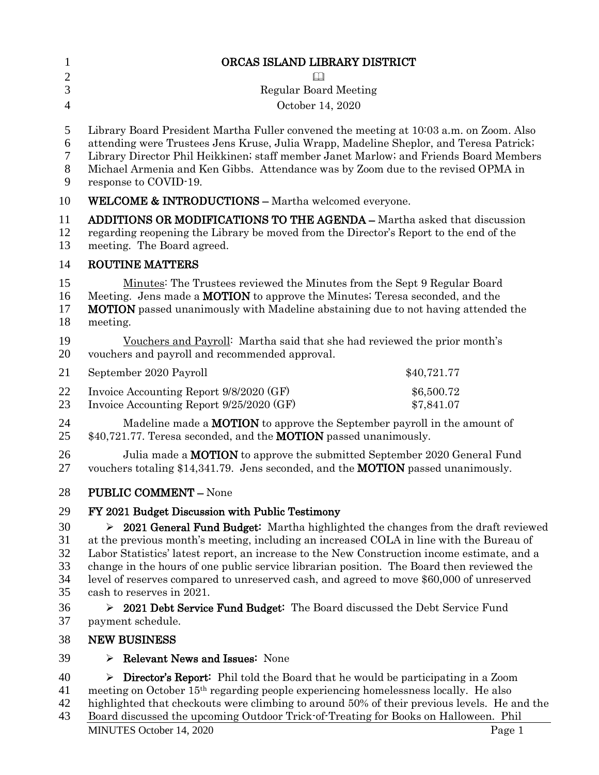| $\mathbf{1}$               | ORCAS ISLAND LIBRARY DISTRICT                                                                                                                                                                                                                                                                                                                                                                                                                                              |  |  |
|----------------------------|----------------------------------------------------------------------------------------------------------------------------------------------------------------------------------------------------------------------------------------------------------------------------------------------------------------------------------------------------------------------------------------------------------------------------------------------------------------------------|--|--|
| $\mathbf{2}$<br>3          | <b>Regular Board Meeting</b>                                                                                                                                                                                                                                                                                                                                                                                                                                               |  |  |
| $\overline{4}$             | October 14, 2020                                                                                                                                                                                                                                                                                                                                                                                                                                                           |  |  |
|                            |                                                                                                                                                                                                                                                                                                                                                                                                                                                                            |  |  |
| 5<br>6<br>7<br>$8\,$<br>9  | Library Board President Martha Fuller convened the meeting at 10003 a.m. on Zoom. Also<br>attending were Trustees Jens Kruse, Julia Wrapp, Madeline Sheplor, and Teresa Patrick;<br>Library Director Phil Heikkinen; staff member Janet Marlow; and Friends Board Members<br>Michael Armenia and Ken Gibbs. Attendance was by Zoom due to the revised OPMA in<br>response to COVID-19.                                                                                     |  |  |
| 10                         | <b>WELCOME &amp; INTRODUCTIONS - Martha welcomed everyone.</b>                                                                                                                                                                                                                                                                                                                                                                                                             |  |  |
| 11<br>12<br>13             | <b>ADDITIONS OR MODIFICATIONS TO THE AGENDA - Martha asked that discussion</b><br>regarding reopening the Library be moved from the Director's Report to the end of the<br>meeting. The Board agreed.                                                                                                                                                                                                                                                                      |  |  |
| 14                         | <b>ROUTINE MATTERS</b>                                                                                                                                                                                                                                                                                                                                                                                                                                                     |  |  |
| 15<br>16<br>17<br>18       | Minutes: The Trustees reviewed the Minutes from the Sept 9 Regular Board<br>Meeting. Jens made a <b>MOTION</b> to approve the Minutes; Teresa seconded, and the<br><b>MOTION</b> passed unanimously with Madeline abstaining due to not having attended the<br>meeting.                                                                                                                                                                                                    |  |  |
| 19<br>20                   | Vouchers and Payroll: Martha said that she had reviewed the prior month's<br>vouchers and payroll and recommended approval.                                                                                                                                                                                                                                                                                                                                                |  |  |
| 21                         | September 2020 Payroll<br>\$40,721.77                                                                                                                                                                                                                                                                                                                                                                                                                                      |  |  |
| 22<br>23                   | Invoice Accounting Report 9/8/2020 (GF)<br>\$6,500.72<br>Invoice Accounting Report 9/25/2020 (GF)<br>\$7,841.07                                                                                                                                                                                                                                                                                                                                                            |  |  |
| 24<br>25                   | Madeline made a <b>MOTION</b> to approve the September payroll in the amount of<br>\$40,721.77. Teresa seconded, and the <b>MOTION</b> passed unanimously.                                                                                                                                                                                                                                                                                                                 |  |  |
| 26<br>27                   | Julia made a <b>MOTION</b> to approve the submitted September 2020 General Fund<br>vouchers totaling \$14,341.79. Jens seconded, and the <b>MOTION</b> passed unanimously.                                                                                                                                                                                                                                                                                                 |  |  |
| 28                         | <b>PUBLIC COMMENT - None</b>                                                                                                                                                                                                                                                                                                                                                                                                                                               |  |  |
| 29                         | FY 2021 Budget Discussion with Public Testimony                                                                                                                                                                                                                                                                                                                                                                                                                            |  |  |
| 30<br>31<br>32<br>33<br>34 | $\geq 2021$ General Fund Budget: Martha highlighted the changes from the draft reviewed<br>at the previous month's meeting, including an increased COLA in line with the Bureau of<br>Labor Statistics' latest report, an increase to the New Construction income estimate, and a<br>change in the hours of one public service librarian position. The Board then reviewed the<br>level of reserves compared to unreserved cash, and agreed to move \$60,000 of unreserved |  |  |
| 35<br>36                   | cash to reserves in 2021.<br>> 2021 Debt Service Fund Budget: The Board discussed the Debt Service Fund                                                                                                                                                                                                                                                                                                                                                                    |  |  |
| 37                         | payment schedule.                                                                                                                                                                                                                                                                                                                                                                                                                                                          |  |  |
| 38                         | <b>NEW BUSINESS</b>                                                                                                                                                                                                                                                                                                                                                                                                                                                        |  |  |
| 39                         | <b>Relevant News and Issues:</b> None<br>⋗                                                                                                                                                                                                                                                                                                                                                                                                                                 |  |  |
| 40                         | <b>Director's Report:</b> Phil told the Board that he would be participating in a Zoom<br>➤                                                                                                                                                                                                                                                                                                                                                                                |  |  |

- 41 meeting on October  $15<sup>th</sup>$  regarding people experiencing homelessness locally. He also<br>42 highlighted that checkouts were climbing to around 50% of their previous levels. He a
- 42 highlighted that checkouts were climbing to around 50% of their previous levels. He and the Board discussed the upcoming Outdoor Trick of Treating for Books on Halloween. Phil
- MINUTES October 14, 2020 Page 1 Board discussed the upcoming Outdoor Trick-of-Treating for Books on Halloween. Phil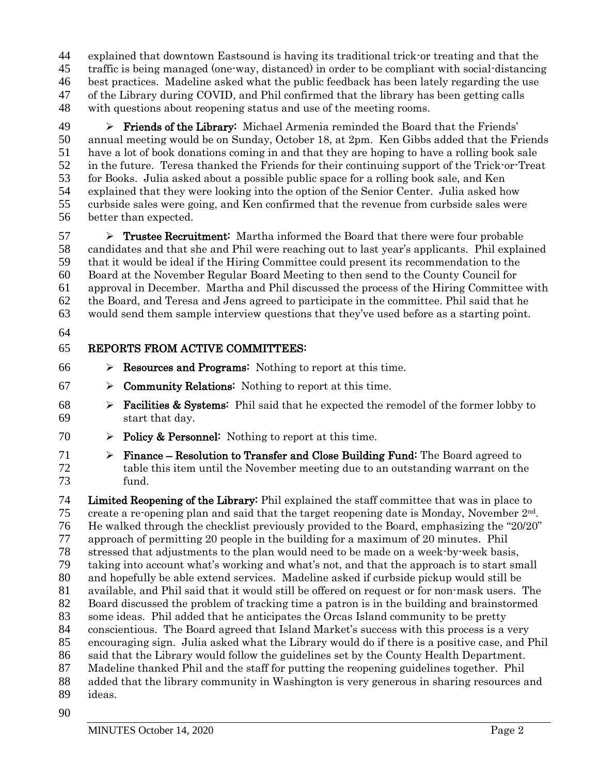explained that downtown Eastsound is having its traditional trick-or treating and that the traffic is being managed (one-way, distanced) in order to be compliant with social-distancing best practices. Madeline asked what the public feedback has been lately regarding the use of the Library during COVID, and Phil confirmed that the library has been getting calls with questions about reopening status and use of the meeting rooms.

 Friends of the Library: Michael Armenia reminded the Board that the Friends' annual meeting would be on Sunday, October 18, at 2pm. Ken Gibbs added that the Friends have a lot of book donations coming in and that they are hoping to have a rolling book sale in the future. Teresa thanked the Friends for their continuing support of the Trick-or-Treat for Books. Julia asked about a possible public space for a rolling book sale, and Ken explained that they were looking into the option of the Senior Center. Julia asked how curbside sales were going, and Ken confirmed that the revenue from curbside sales were better than expected.

 $57 \rightarrow$  Trustee Recruitment: Martha informed the Board that there were four probable candidates and that she and Phil were reaching out to last year's applicants. Phil explained that it would be ideal if the Hiring Committee could present its recommendation to the Board at the November Regular Board Meeting to then send to the County Council for approval in December. Martha and Phil discussed the process of the Hiring Committee with the Board, and Teresa and Jens agreed to participate in the committee. Phil said that he would send them sample interview questions that they've used before as a starting point.

#### REPORTS FROM ACTIVE COMMITTEES:

- $66 \rightarrow$  **Resources and Programs:** Nothing to report at this time.
- $67 \rightarrow$  **Community Relations:** Nothing to report at this time.
- **Facilities & Systems:** Phil said that he expected the remodel of the former lobby to start that day.
- 70  $\triangleright$  Policy & Personnel: Nothing to report at this time.
- 71  $\triangleright$  Finance Resolution to Transfer and Close Building Fund: The Board agreed to table this item until the November meeting due to an outstanding warrant on the fund.

 Limited Reopening of the Library: Phil explained the staff committee that was in place to 75 create a re-opening plan and said that the target reopening date is Monday, November  $2<sup>nd</sup>$ . He walked through the checklist previously provided to the Board, emphasizing the "20/20" approach of permitting 20 people in the building for a maximum of 20 minutes. Phil stressed that adjustments to the plan would need to be made on a week-by-week basis, taking into account what's working and what's not, and that the approach is to start small and hopefully be able extend services. Madeline asked if curbside pickup would still be available, and Phil said that it would still be offered on request or for non-mask users. The Board discussed the problem of tracking time a patron is in the building and brainstormed some ideas. Phil added that he anticipates the Orcas Island community to be pretty conscientious. The Board agreed that Island Market's success with this process is a very encouraging sign. Julia asked what the Library would do if there is a positive case, and Phil said that the Library would follow the guidelines set by the County Health Department. Madeline thanked Phil and the staff for putting the reopening guidelines together. Phil added that the library community in Washington is very generous in sharing resources and ideas.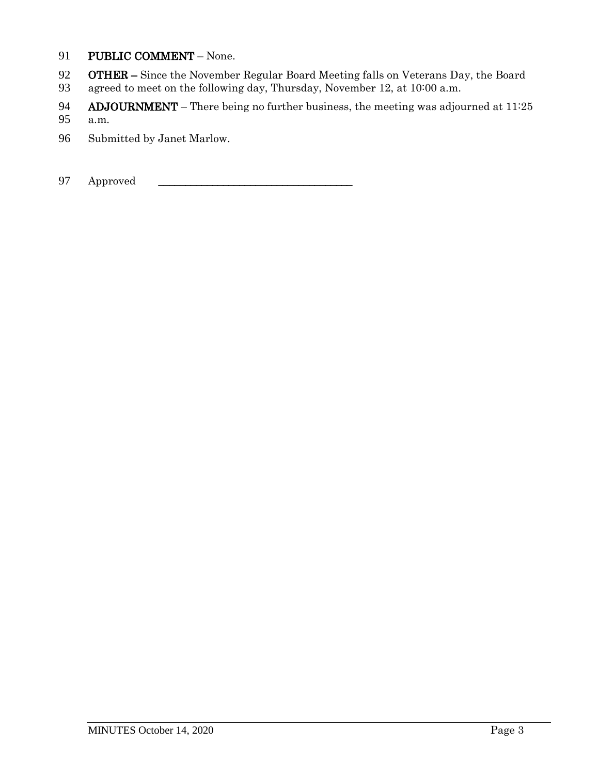- 91 PUBLIC COMMENT None.
- 92 **OTHER** Since the November Regular Board Meeting falls on Veterans Day, the Board<br>93 agreed to meet on the following day, Thursday, November 12, at 10:00 a.m.
- agreed to meet on the following day, Thursday, November 12, at 10:00 a.m.
- 94 **ADJOURNMENT** There being no further business, the meeting was adjourned at  $11:25$ <br>95 a.m.
- a.m.
- 96 Submitted by Janet Marlow.
- 97 Approved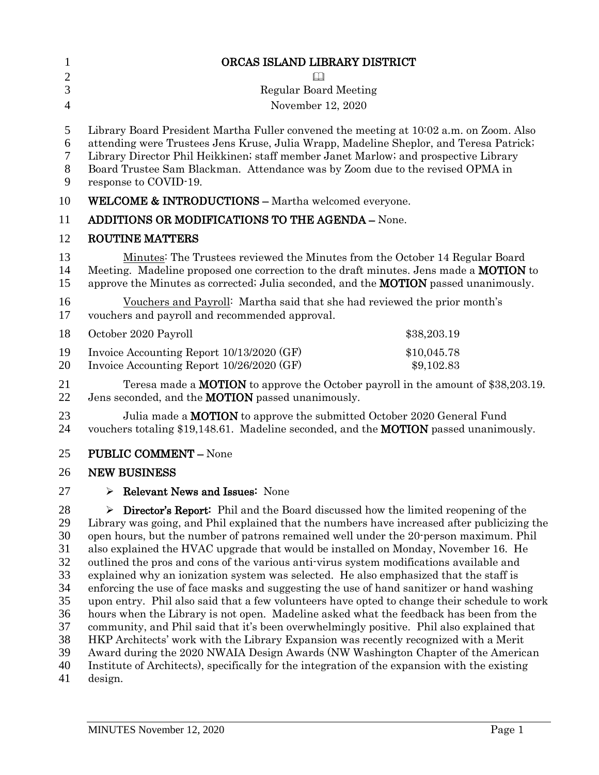| $\mathbf{1}$                                                   | ORCAS ISLAND LIBRARY DISTRICT                                                                                                                                                                                                                                                                                                                                                                                                                                                                                                                                                                                                                                                                                                                                                                                                                                                                                                                                                                                                                         |  |  |
|----------------------------------------------------------------|-------------------------------------------------------------------------------------------------------------------------------------------------------------------------------------------------------------------------------------------------------------------------------------------------------------------------------------------------------------------------------------------------------------------------------------------------------------------------------------------------------------------------------------------------------------------------------------------------------------------------------------------------------------------------------------------------------------------------------------------------------------------------------------------------------------------------------------------------------------------------------------------------------------------------------------------------------------------------------------------------------------------------------------------------------|--|--|
| $\mathbf{2}$                                                   |                                                                                                                                                                                                                                                                                                                                                                                                                                                                                                                                                                                                                                                                                                                                                                                                                                                                                                                                                                                                                                                       |  |  |
| 3                                                              | <b>Regular Board Meeting</b>                                                                                                                                                                                                                                                                                                                                                                                                                                                                                                                                                                                                                                                                                                                                                                                                                                                                                                                                                                                                                          |  |  |
| $\overline{4}$                                                 | November 12, 2020                                                                                                                                                                                                                                                                                                                                                                                                                                                                                                                                                                                                                                                                                                                                                                                                                                                                                                                                                                                                                                     |  |  |
| 5<br>6<br>7<br>$8\phantom{1}$<br>9                             | Library Board President Martha Fuller convened the meeting at 10:02 a.m. on Zoom. Also<br>attending were Trustees Jens Kruse, Julia Wrapp, Madeline Sheplor, and Teresa Patrick;<br>Library Director Phil Heikkinen; staff member Janet Marlow; and prospective Library<br>Board Trustee Sam Blackman. Attendance was by Zoom due to the revised OPMA in<br>response to COVID-19.                                                                                                                                                                                                                                                                                                                                                                                                                                                                                                                                                                                                                                                                     |  |  |
| 10                                                             | <b>WELCOME &amp; INTRODUCTIONS - Martha welcomed everyone.</b>                                                                                                                                                                                                                                                                                                                                                                                                                                                                                                                                                                                                                                                                                                                                                                                                                                                                                                                                                                                        |  |  |
| 11                                                             | <b>ADDITIONS OR MODIFICATIONS TO THE AGENDA - None.</b>                                                                                                                                                                                                                                                                                                                                                                                                                                                                                                                                                                                                                                                                                                                                                                                                                                                                                                                                                                                               |  |  |
| 12                                                             | <b>ROUTINE MATTERS</b>                                                                                                                                                                                                                                                                                                                                                                                                                                                                                                                                                                                                                                                                                                                                                                                                                                                                                                                                                                                                                                |  |  |
| 13<br>14<br>15                                                 | Minutes: The Trustees reviewed the Minutes from the October 14 Regular Board<br>Meeting. Madeline proposed one correction to the draft minutes. Jens made a <b>MOTION</b> to<br>approve the Minutes as corrected; Julia seconded, and the <b>MOTION</b> passed unanimously.                                                                                                                                                                                                                                                                                                                                                                                                                                                                                                                                                                                                                                                                                                                                                                           |  |  |
| 16<br>17                                                       | Vouchers and Payroll: Martha said that she had reviewed the prior month's<br>vouchers and payroll and recommended approval.                                                                                                                                                                                                                                                                                                                                                                                                                                                                                                                                                                                                                                                                                                                                                                                                                                                                                                                           |  |  |
| 18                                                             | October 2020 Payroll<br>\$38,203.19                                                                                                                                                                                                                                                                                                                                                                                                                                                                                                                                                                                                                                                                                                                                                                                                                                                                                                                                                                                                                   |  |  |
| 19<br>20                                                       | Invoice Accounting Report 10/13/2020 (GF)<br>\$10,045.78<br>Invoice Accounting Report 10/26/2020 (GF)<br>\$9,102.83                                                                                                                                                                                                                                                                                                                                                                                                                                                                                                                                                                                                                                                                                                                                                                                                                                                                                                                                   |  |  |
| 21<br>22                                                       | Teresa made a <b>MOTION</b> to approve the October payroll in the amount of \$38,203.19.<br>Jens seconded, and the MOTION passed unanimously.                                                                                                                                                                                                                                                                                                                                                                                                                                                                                                                                                                                                                                                                                                                                                                                                                                                                                                         |  |  |
| 23<br>24                                                       | Julia made a MOTION to approve the submitted October 2020 General Fund<br>vouchers totaling \$19,148.61. Madeline seconded, and the <b>MOTION</b> passed unanimously.                                                                                                                                                                                                                                                                                                                                                                                                                                                                                                                                                                                                                                                                                                                                                                                                                                                                                 |  |  |
| 25                                                             | <b>PUBLIC COMMENT - None</b>                                                                                                                                                                                                                                                                                                                                                                                                                                                                                                                                                                                                                                                                                                                                                                                                                                                                                                                                                                                                                          |  |  |
| 26                                                             | <b>NEW BUSINESS</b>                                                                                                                                                                                                                                                                                                                                                                                                                                                                                                                                                                                                                                                                                                                                                                                                                                                                                                                                                                                                                                   |  |  |
| 27                                                             | $\triangleright$ Relevant News and Issues: None                                                                                                                                                                                                                                                                                                                                                                                                                                                                                                                                                                                                                                                                                                                                                                                                                                                                                                                                                                                                       |  |  |
| 28<br>29<br>30<br>31<br>32<br>33<br>34<br>35<br>36<br>37<br>38 | $\triangleright$ <b>Director's Report:</b> Phil and the Board discussed how the limited reopening of the<br>Library was going, and Phil explained that the numbers have increased after publicizing the<br>open hours, but the number of patrons remained well under the 20-person maximum. Phil<br>also explained the HVAC upgrade that would be installed on Monday, November 16. He<br>outlined the pros and cons of the various anti-virus system modifications available and<br>explained why an ionization system was selected. He also emphasized that the staff is<br>enforcing the use of face masks and suggesting the use of hand sanitizer or hand washing<br>upon entry. Phil also said that a few volunteers have opted to change their schedule to work<br>hours when the Library is not open. Madeline asked what the feedback has been from the<br>community, and Phil said that it's been overwhelmingly positive. Phil also explained that<br>HKP Architects' work with the Library Expansion was recently recognized with a Merit |  |  |

39 Award during the 2020 NWAIA Design Awards (NW Washington Chapter of the American

40 Institute of Architects), specifically for the integration of the expansion with the existing design.

design.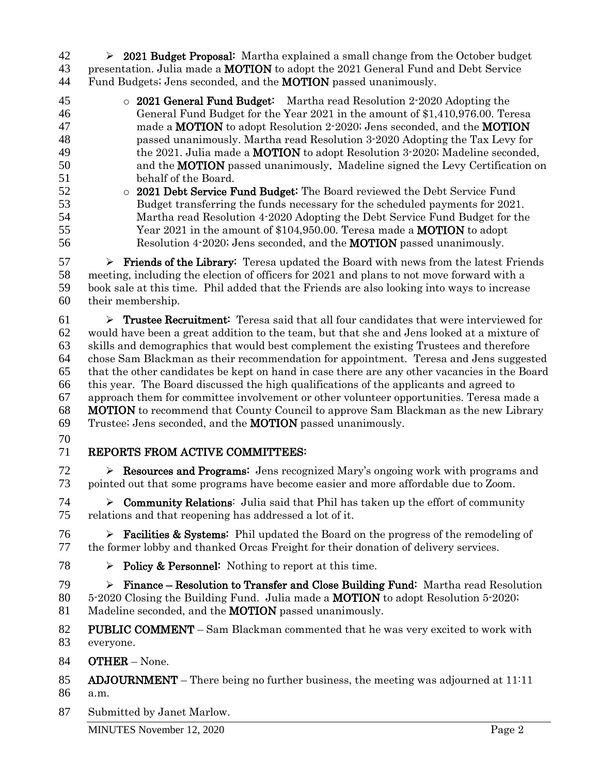42  $\rightarrow$  2021 Budget Proposal: Martha explained a small change from the October budget 43 presentation. Julia made a **MOTION** to adopt the 2021 General Fund and Debt Service Fund Budgets; Jens seconded, and the MOTION passed unanimously.

- o 2021 General Fund Budget: Martha read Resolution 2-2020 Adopting the General Fund Budget for the Year 2021 in the amount of \$1,410,976.00. Teresa 47 made a **MOTION** to adopt Resolution 2-2020; Jens seconded, and the **MOTION**  passed unanimously. Martha read Resolution 3-2020 Adopting the Tax Levy for 49 the 2021. Julia made a **MOTION** to adopt Resolution 3-2020; Madeline seconded, and the MOTION passed unanimously. Madeline signed the Levy Certification on behalf of the Board.
- o 2021 Debt Service Fund Budget: The Board reviewed the Debt Service Fund Budget transferring the funds necessary for the scheduled payments for 2021. Martha read Resolution 4-2020 Adopting the Debt Service Fund Budget for the 55 Year 2021 in the amount of \$104,950.00. Teresa made a **MOTION** to adopt Resolution 4-2020; Jens seconded, and the MOTION passed unanimously.

 $57 \rightarrow$  **Friends of the Library:** Teresa updated the Board with news from the latest Friends meeting, including the election of officers for 2021 and plans to not move forward with a book sale at this time. Phil added that the Friends are also looking into ways to increase their membership.

 $61 \rightarrow$  **Trustee Recruitment:** Teresa said that all four candidates that were interviewed for would have been a great addition to the team, but that she and Jens looked at a mixture of skills and demographics that would best complement the existing Trustees and therefore chose Sam Blackman as their recommendation for appointment. Teresa and Jens suggested that the other candidates be kept on hand in case there are any other vacancies in the Board this year. The Board discussed the high qualifications of the applicants and agreed to approach them for committee involvement or other volunteer opportunities. Teresa made a MOTION to recommend that County Council to approve Sam Blackman as the new Library Trustee; Jens seconded, and the MOTION passed unanimously.

# REPORTS FROM ACTIVE COMMITTEES:

72  $\triangleright$  **Resources and Programs:** Jens recognized Mary's ongoing work with programs and pointed out that some programs have become easier and more affordable due to Zoom.

 $74 \rightarrow$  Community Relations: Julia said that Phil has taken up the effort of community relations and that reopening has addressed a lot of it.

**Facilities & Systems:** Phil updated the Board on the progress of the remodeling of the former lobby and thanked Orcas Freight for their donation of delivery services.

78  $\triangleright$  Policy & Personnel: Nothing to report at this time.

 $79 \rightarrow$  Finance – Resolution to Transfer and Close Building Fund: Martha read Resolution 5-2020 Closing the Building Fund. Julia made a MOTION to adopt Resolution 5-2020; 81 Madeline seconded, and the **MOTION** passed unanimously.

- 82 PUBLIC COMMENT Sam Blackman commented that he was very excited to work with everyone.
- OTHER None.
- 85 ADJOURNMENT There being no further business, the meeting was adjourned at  $11:11$
- a.m.
- Submitted by Janet Marlow.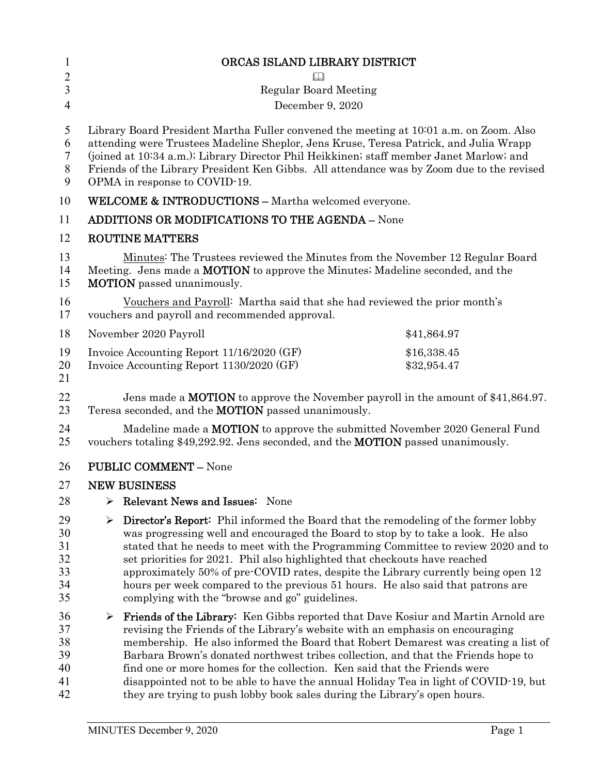| $\mathbf{1}$                           | ORCAS ISLAND LIBRARY DISTRICT                                                                                                                                                                                                                                                                                                                                                                                                                                                                                                                                                                               |  |  |
|----------------------------------------|-------------------------------------------------------------------------------------------------------------------------------------------------------------------------------------------------------------------------------------------------------------------------------------------------------------------------------------------------------------------------------------------------------------------------------------------------------------------------------------------------------------------------------------------------------------------------------------------------------------|--|--|
| $\overline{2}$                         |                                                                                                                                                                                                                                                                                                                                                                                                                                                                                                                                                                                                             |  |  |
| $\mathfrak{Z}$                         | <b>Regular Board Meeting</b>                                                                                                                                                                                                                                                                                                                                                                                                                                                                                                                                                                                |  |  |
| $\overline{4}$                         | December 9, 2020                                                                                                                                                                                                                                                                                                                                                                                                                                                                                                                                                                                            |  |  |
| 5<br>6<br>7<br>8<br>9                  | Library Board President Martha Fuller convened the meeting at 10:01 a.m. on Zoom. Also<br>attending were Trustees Madeline Sheplor, Jens Kruse, Teresa Patrick, and Julia Wrapp<br>(joined at 10:34 a.m.); Library Director Phil Heikkinen; staff member Janet Marlow; and<br>Friends of the Library President Ken Gibbs. All attendance was by Zoom due to the revised<br>OPMA in response to COVID-19.                                                                                                                                                                                                    |  |  |
| 10                                     | <b>WELCOME &amp; INTRODUCTIONS - Martha welcomed everyone.</b>                                                                                                                                                                                                                                                                                                                                                                                                                                                                                                                                              |  |  |
| 11                                     | <b>ADDITIONS OR MODIFICATIONS TO THE AGENDA - None</b>                                                                                                                                                                                                                                                                                                                                                                                                                                                                                                                                                      |  |  |
| 12                                     | <b>ROUTINE MATTERS</b>                                                                                                                                                                                                                                                                                                                                                                                                                                                                                                                                                                                      |  |  |
| 13<br>14<br>15                         | Minutes: The Trustees reviewed the Minutes from the November 12 Regular Board<br>Meeting. Jens made a <b>MOTION</b> to approve the Minutes; Madeline seconded, and the<br><b>MOTION</b> passed unanimously.                                                                                                                                                                                                                                                                                                                                                                                                 |  |  |
| 16<br>17                               | Vouchers and Payroll: Martha said that she had reviewed the prior month's<br>vouchers and payroll and recommended approval.                                                                                                                                                                                                                                                                                                                                                                                                                                                                                 |  |  |
| 18                                     | November 2020 Payroll<br>\$41,864.97                                                                                                                                                                                                                                                                                                                                                                                                                                                                                                                                                                        |  |  |
| 19<br>20<br>21                         | Invoice Accounting Report 11/16/2020 (GF)<br>\$16,338.45<br>Invoice Accounting Report 1130/2020 (GF)<br>\$32,954.47                                                                                                                                                                                                                                                                                                                                                                                                                                                                                         |  |  |
| 22<br>23                               | Jens made a <b>MOTION</b> to approve the November payroll in the amount of $$41,864.97$ .<br>Teresa seconded, and the <b>MOTION</b> passed unanimously.                                                                                                                                                                                                                                                                                                                                                                                                                                                     |  |  |
| 24<br>25                               | Madeline made a <b>MOTION</b> to approve the submitted November 2020 General Fund<br>vouchers totaling \$49,292.92. Jens seconded, and the <b>MOTION</b> passed unanimously.                                                                                                                                                                                                                                                                                                                                                                                                                                |  |  |
| 26                                     | <b>PUBLIC COMMENT - None</b>                                                                                                                                                                                                                                                                                                                                                                                                                                                                                                                                                                                |  |  |
| 27                                     | <b>NEW BUSINESS</b>                                                                                                                                                                                                                                                                                                                                                                                                                                                                                                                                                                                         |  |  |
| 28                                     | Relevant News and Issues: None<br>➤                                                                                                                                                                                                                                                                                                                                                                                                                                                                                                                                                                         |  |  |
| 29<br>30<br>31<br>32<br>33<br>34<br>35 | <b>Director's Report:</b> Phil informed the Board that the remodeling of the former lobby<br>➤<br>was progressing well and encouraged the Board to stop by to take a look. He also<br>stated that he needs to meet with the Programming Committee to review 2020 and to<br>set priorities for 2021. Phil also highlighted that checkouts have reached<br>approximately 50% of pre-COVID rates, despite the Library currently being open 12<br>hours per week compared to the previous 51 hours. He also said that patrons are<br>complying with the "browse and go" guidelines.                             |  |  |
| 36<br>37<br>38<br>39<br>40<br>41<br>42 | <b>Friends of the Library:</b> Ken Gibbs reported that Dave Kosiur and Martin Arnold are<br>≻<br>revising the Friends of the Library's website with an emphasis on encouraging<br>membership. He also informed the Board that Robert Demarest was creating a list of<br>Barbara Brown's donated northwest tribes collection, and that the Friends hope to<br>find one or more homes for the collection. Ken said that the Friends were<br>disappointed not to be able to have the annual Holiday Tea in light of COVID-19, but<br>they are trying to push lobby book sales during the Library's open hours. |  |  |